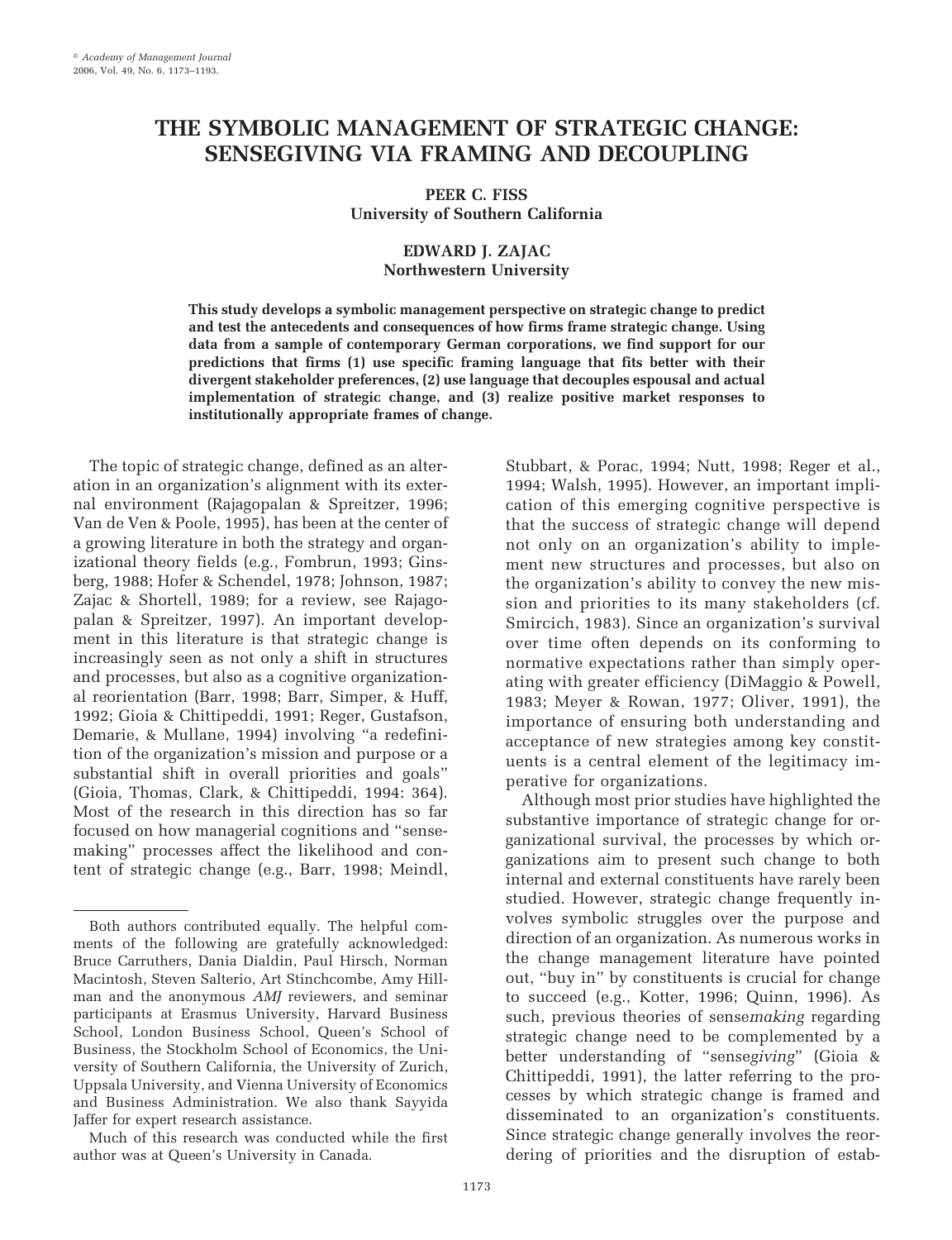# **THE SYMBOLIC MANAGEMENT OF STRATEGIC CHANGE: SENSEGIVING VIA FRAMING AND DECOUPLING**

# **PEER C. FISS University of Southern California**

### **EDWARD J. ZAJAC Northwestern University**

**This study develops a symbolic management perspective on strategic change to predict and test the antecedents and consequences of how firms frame strategic change. Using data from a sample of contemporary German corporations, we find support for our predictions that firms (1) use specific framing language that fits better with their divergent stakeholder preferences, (2) use language that decouples espousal and actual implementation of strategic change, and (3) realize positive market responses to institutionally appropriate frames of change.**

The topic of strategic change, defined as an alteration in an organization's alignment with its external environment (Rajagopalan & Spreitzer, 1996; Van de Ven & Poole, 1995), has been at the center of a growing literature in both the strategy and organizational theory fields (e.g., Fombrun, 1993; Ginsberg, 1988; Hofer & Schendel, 1978; Johnson, 1987; Zajac & Shortell, 1989; for a review, see Rajagopalan & Spreitzer, 1997). An important development in this literature is that strategic change is increasingly seen as not only a shift in structures and processes, but also as a cognitive organizational reorientation (Barr, 1998; Barr, Simper, & Huff, 1992; Gioia & Chittipeddi, 1991; Reger, Gustafson, Demarie, & Mullane, 1994) involving "a redefinition of the organization's mission and purpose or a substantial shift in overall priorities and goals" (Gioia, Thomas, Clark, & Chittipeddi, 1994: 364). Most of the research in this direction has so far focused on how managerial cognitions and "sensemaking" processes affect the likelihood and content of strategic change (e.g., Barr, 1998; Meindl,

Much of this research was conducted while the first author was at Queen's University in Canada.

Stubbart, & Porac, 1994; Nutt, 1998; Reger et al., 1994; Walsh, 1995). However, an important implication of this emerging cognitive perspective is that the success of strategic change will depend not only on an organization's ability to implement new structures and processes, but also on the organization's ability to convey the new mission and priorities to its many stakeholders (cf. Smircich, 1983). Since an organization's survival over time often depends on its conforming to normative expectations rather than simply operating with greater efficiency (DiMaggio & Powell, 1983; Meyer & Rowan, 1977; Oliver, 1991), the importance of ensuring both understanding and acceptance of new strategies among key constituents is a central element of the legitimacy imperative for organizations.

Although most prior studies have highlighted the substantive importance of strategic change for organizational survival, the processes by which organizations aim to present such change to both internal and external constituents have rarely been studied. However, strategic change frequently involves symbolic struggles over the purpose and direction of an organization. As numerous works in the change management literature have pointed out, "buy in" by constituents is crucial for change to succeed (e.g., Kotter, 1996; Quinn, 1996). As such, previous theories of sense*making* regarding strategic change need to be complemented by a better understanding of "sense*giving*" (Gioia & Chittipeddi, 1991), the latter referring to the processes by which strategic change is framed and disseminated to an organization's constituents. Since strategic change generally involves the reordering of priorities and the disruption of estab-

Both authors contributed equally. The helpful comments of the following are gratefully acknowledged: Bruce Carruthers, Dania Dialdin, Paul Hirsch, Norman Macintosh, Steven Salterio, Art Stinchcombe, Amy Hillman and the anonymous *AMJ* reviewers, and seminar participants at Erasmus University, Harvard Business School, London Business School, Queen's School of Business, the Stockholm School of Economics, the University of Southern California, the University of Zurich, Uppsala University, and Vienna University of Economics and Business Administration. We also thank Sayyida Jaffer for expert research assistance.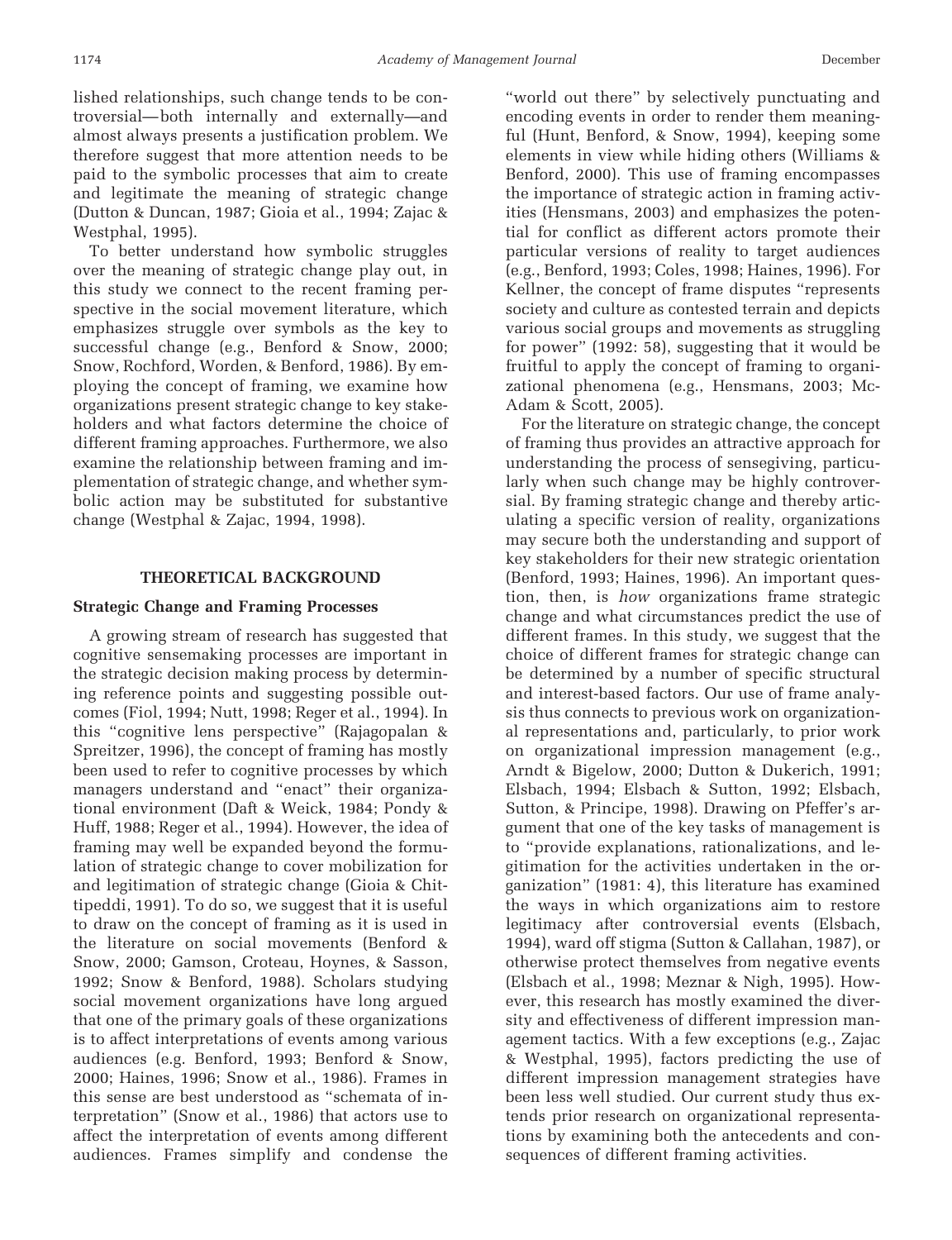lished relationships, such change tends to be controversial— both internally and externally—and almost always presents a justification problem. We therefore suggest that more attention needs to be paid to the symbolic processes that aim to create and legitimate the meaning of strategic change (Dutton & Duncan, 1987; Gioia et al., 1994; Zajac & Westphal, 1995).

To better understand how symbolic struggles over the meaning of strategic change play out, in this study we connect to the recent framing perspective in the social movement literature, which emphasizes struggle over symbols as the key to successful change (e.g., Benford & Snow, 2000; Snow, Rochford, Worden, & Benford, 1986). By employing the concept of framing, we examine how organizations present strategic change to key stakeholders and what factors determine the choice of different framing approaches. Furthermore, we also examine the relationship between framing and implementation of strategic change, and whether symbolic action may be substituted for substantive change (Westphal & Zajac, 1994, 1998).

#### **THEORETICAL BACKGROUND**

#### **Strategic Change and Framing Processes**

A growing stream of research has suggested that cognitive sensemaking processes are important in the strategic decision making process by determining reference points and suggesting possible outcomes (Fiol, 1994; Nutt, 1998; Reger et al., 1994). In this "cognitive lens perspective" (Rajagopalan & Spreitzer, 1996), the concept of framing has mostly been used to refer to cognitive processes by which managers understand and "enact" their organizational environment (Daft & Weick, 1984; Pondy & Huff, 1988; Reger et al., 1994). However, the idea of framing may well be expanded beyond the formulation of strategic change to cover mobilization for and legitimation of strategic change (Gioia & Chittipeddi, 1991). To do so, we suggest that it is useful to draw on the concept of framing as it is used in the literature on social movements (Benford & Snow, 2000; Gamson, Croteau, Hoynes, & Sasson, 1992; Snow & Benford, 1988). Scholars studying social movement organizations have long argued that one of the primary goals of these organizations is to affect interpretations of events among various audiences (e.g. Benford, 1993; Benford & Snow, 2000; Haines, 1996; Snow et al., 1986). Frames in this sense are best understood as "schemata of interpretation" (Snow et al., 1986) that actors use to affect the interpretation of events among different audiences. Frames simplify and condense the

"world out there" by selectively punctuating and encoding events in order to render them meaningful (Hunt, Benford, & Snow, 1994), keeping some elements in view while hiding others (Williams & Benford, 2000). This use of framing encompasses the importance of strategic action in framing activities (Hensmans, 2003) and emphasizes the potential for conflict as different actors promote their particular versions of reality to target audiences (e.g., Benford, 1993; Coles, 1998; Haines, 1996). For Kellner, the concept of frame disputes "represents society and culture as contested terrain and depicts various social groups and movements as struggling for power" (1992: 58), suggesting that it would be fruitful to apply the concept of framing to organizational phenomena (e.g., Hensmans, 2003; Mc-Adam & Scott, 2005).

For the literature on strategic change, the concept of framing thus provides an attractive approach for understanding the process of sensegiving, particularly when such change may be highly controversial. By framing strategic change and thereby articulating a specific version of reality, organizations may secure both the understanding and support of key stakeholders for their new strategic orientation (Benford, 1993; Haines, 1996). An important question, then, is *how* organizations frame strategic change and what circumstances predict the use of different frames. In this study, we suggest that the choice of different frames for strategic change can be determined by a number of specific structural and interest-based factors. Our use of frame analysis thus connects to previous work on organizational representations and, particularly, to prior work on organizational impression management (e.g., Arndt & Bigelow, 2000; Dutton & Dukerich, 1991; Elsbach, 1994; Elsbach & Sutton, 1992; Elsbach, Sutton, & Principe, 1998). Drawing on Pfeffer's argument that one of the key tasks of management is to "provide explanations, rationalizations, and legitimation for the activities undertaken in the organization" (1981: 4), this literature has examined the ways in which organizations aim to restore legitimacy after controversial events (Elsbach, 1994), ward off stigma (Sutton & Callahan, 1987), or otherwise protect themselves from negative events (Elsbach et al., 1998; Meznar & Nigh, 1995). However, this research has mostly examined the diversity and effectiveness of different impression management tactics. With a few exceptions (e.g., Zajac & Westphal, 1995), factors predicting the use of different impression management strategies have been less well studied. Our current study thus extends prior research on organizational representations by examining both the antecedents and consequences of different framing activities.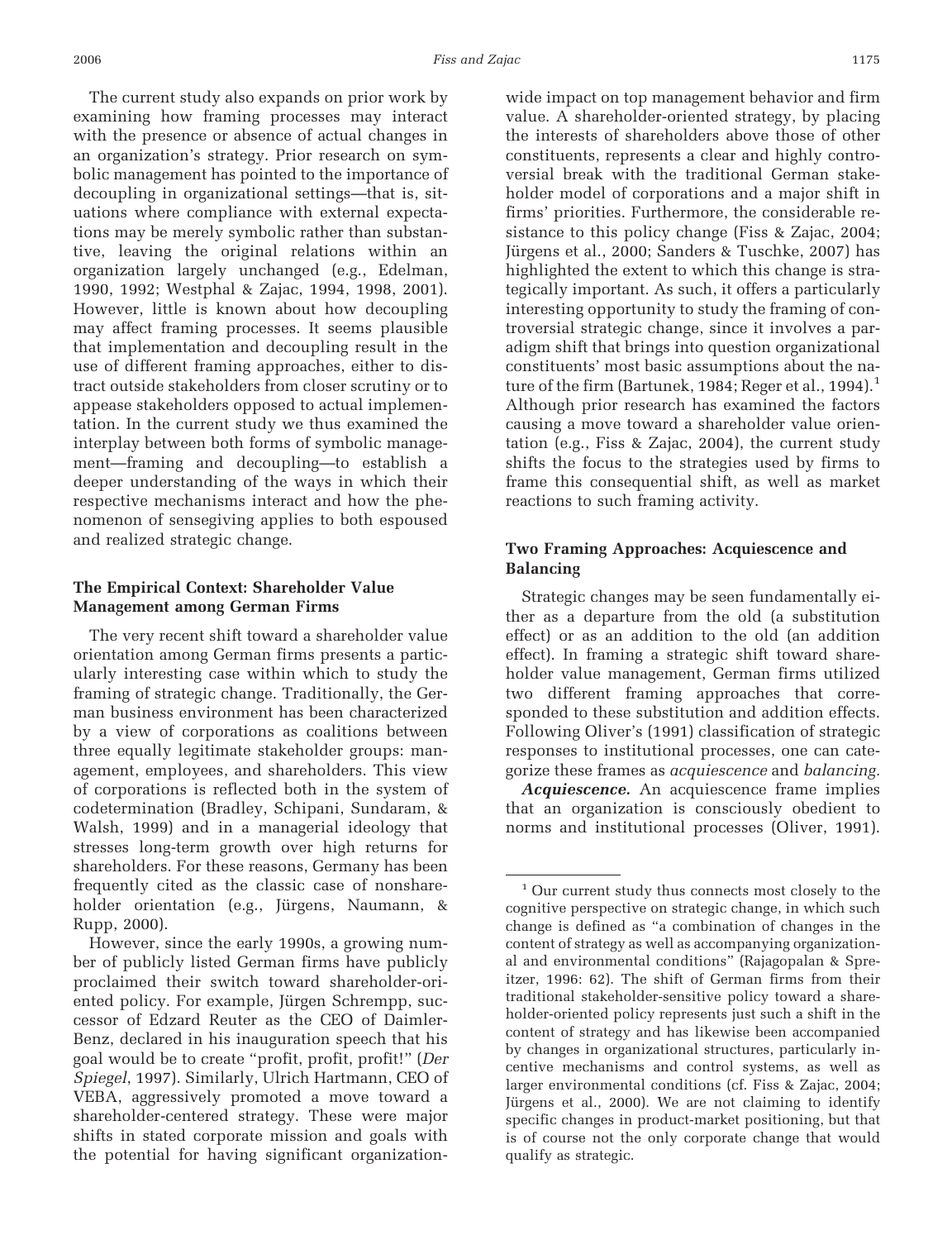The current study also expands on prior work by examining how framing processes may interact with the presence or absence of actual changes in an organization's strategy. Prior research on symbolic management has pointed to the importance of decoupling in organizational settings—that is, situations where compliance with external expectations may be merely symbolic rather than substantive, leaving the original relations within an organization largely unchanged (e.g., Edelman, 1990, 1992; Westphal & Zajac, 1994, 1998, 2001). However, little is known about how decoupling may affect framing processes. It seems plausible that implementation and decoupling result in the use of different framing approaches, either to distract outside stakeholders from closer scrutiny or to appease stakeholders opposed to actual implementation. In the current study we thus examined the interplay between both forms of symbolic management—framing and decoupling—to establish a deeper understanding of the ways in which their respective mechanisms interact and how the phenomenon of sensegiving applies to both espoused and realized strategic change.

# **The Empirical Context: Shareholder Value Management among German Firms**

The very recent shift toward a shareholder value orientation among German firms presents a particularly interesting case within which to study the framing of strategic change. Traditionally, the German business environment has been characterized by a view of corporations as coalitions between three equally legitimate stakeholder groups: management, employees, and shareholders. This view of corporations is reflected both in the system of codetermination (Bradley, Schipani, Sundaram, & Walsh, 1999) and in a managerial ideology that stresses long-term growth over high returns for shareholders. For these reasons, Germany has been frequently cited as the classic case of nonshareholder orientation (e.g., Jürgens, Naumann, & Rupp, 2000).

However, since the early 1990s, a growing number of publicly listed German firms have publicly proclaimed their switch toward shareholder-oriented policy. For example, Jürgen Schrempp, successor of Edzard Reuter as the CEO of Daimler-Benz, declared in his inauguration speech that his goal would be to create "profit, profit, profit!" (*Der Spiegel*, 1997). Similarly, Ulrich Hartmann, CEO of VEBA, aggressively promoted a move toward a shareholder-centered strategy. These were major shifts in stated corporate mission and goals with the potential for having significant organizationwide impact on top management behavior and firm value. A shareholder-oriented strategy, by placing the interests of shareholders above those of other constituents, represents a clear and highly controversial break with the traditional German stakeholder model of corporations and a major shift in firms' priorities. Furthermore, the considerable resistance to this policy change (Fiss & Zajac, 2004; Jürgens et al., 2000; Sanders & Tuschke, 2007) has highlighted the extent to which this change is strategically important. As such, it offers a particularly interesting opportunity to study the framing of controversial strategic change, since it involves a paradigm shift that brings into question organizational constituents' most basic assumptions about the nature of the firm (Bartunek, 1984; Reger et al., 1994).<sup>1</sup> Although prior research has examined the factors causing a move toward a shareholder value orientation (e.g., Fiss & Zajac, 2004), the current study shifts the focus to the strategies used by firms to frame this consequential shift, as well as market reactions to such framing activity.

### **Two Framing Approaches: Acquiescence and Balancing**

Strategic changes may be seen fundamentally either as a departure from the old (a substitution effect) or as an addition to the old (an addition effect). In framing a strategic shift toward shareholder value management, German firms utilized two different framing approaches that corresponded to these substitution and addition effects. Following Oliver's (1991) classification of strategic responses to institutional processes, one can categorize these frames as *acquiescence* and *balancing.*

*Acquiescence.* An acquiescence frame implies that an organization is consciously obedient to norms and institutional processes (Oliver, 1991).

<sup>1</sup> Our current study thus connects most closely to the cognitive perspective on strategic change, in which such change is defined as "a combination of changes in the content of strategy as well as accompanying organizational and environmental conditions" (Rajagopalan & Spreitzer, 1996: 62). The shift of German firms from their traditional stakeholder-sensitive policy toward a shareholder-oriented policy represents just such a shift in the content of strategy and has likewise been accompanied by changes in organizational structures, particularly incentive mechanisms and control systems, as well as larger environmental conditions (cf. Fiss & Zajac, 2004; Jürgens et al., 2000). We are not claiming to identify specific changes in product-market positioning, but that is of course not the only corporate change that would qualify as strategic.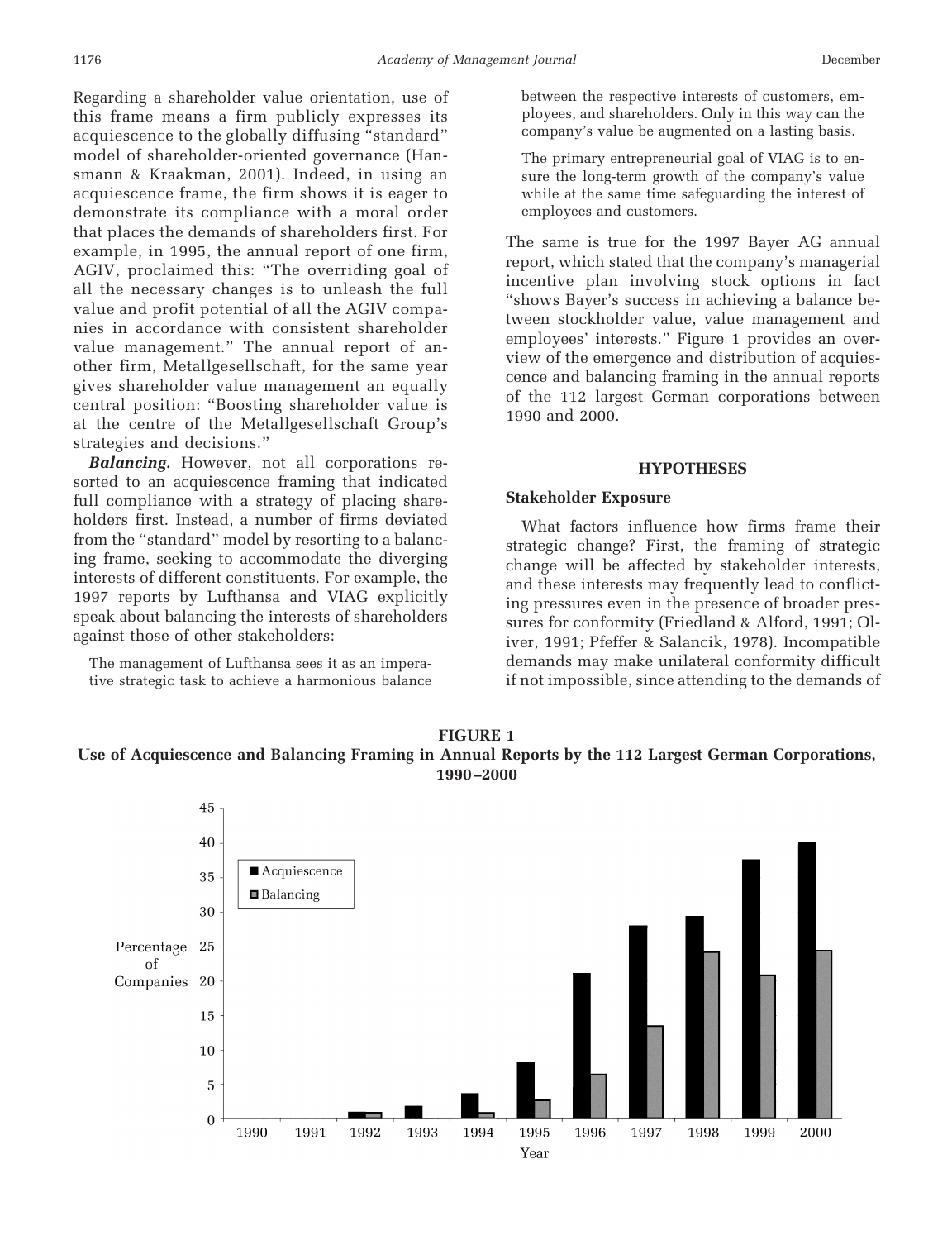Regarding a shareholder value orientation, use of this frame means a firm publicly expresses its acquiescence to the globally diffusing "standard" model of shareholder-oriented governance (Hansmann & Kraakman, 2001). Indeed, in using an acquiescence frame, the firm shows it is eager to demonstrate its compliance with a moral order that places the demands of shareholders first. For example, in 1995, the annual report of one firm, AGIV, proclaimed this: "The overriding goal of all the necessary changes is to unleash the full value and profit potential of all the AGIV companies in accordance with consistent shareholder value management." The annual report of another firm, Metallgesellschaft, for the same year gives shareholder value management an equally central position: "Boosting shareholder value is at the centre of the Metallgesellschaft Group's strategies and decisions."

*Balancing.* However, not all corporations resorted to an acquiescence framing that indicated full compliance with a strategy of placing shareholders first. Instead, a number of firms deviated from the "standard" model by resorting to a balancing frame, seeking to accommodate the diverging interests of different constituents. For example, the 1997 reports by Lufthansa and VIAG explicitly speak about balancing the interests of shareholders against those of other stakeholders:

The management of Lufthansa sees it as an imperative strategic task to achieve a harmonious balance between the respective interests of customers, employees, and shareholders. Only in this way can the company's value be augmented on a lasting basis.

The primary entrepreneurial goal of VIAG is to ensure the long-term growth of the company's value while at the same time safeguarding the interest of employees and customers.

The same is true for the 1997 Bayer AG annual report, which stated that the company's managerial incentive plan involving stock options in fact "shows Bayer's success in achieving a balance between stockholder value, value management and employees' interests." Figure 1 provides an overview of the emergence and distribution of acquiescence and balancing framing in the annual reports of the 112 largest German corporations between 1990 and 2000.

#### **HYPOTHESES**

#### **Stakeholder Exposure**

What factors influence how firms frame their strategic change? First, the framing of strategic change will be affected by stakeholder interests, and these interests may frequently lead to conflicting pressures even in the presence of broader pressures for conformity (Friedland & Alford, 1991; Oliver, 1991; Pfeffer & Salancik, 1978). Incompatible demands may make unilateral conformity difficult if not impossible, since attending to the demands of



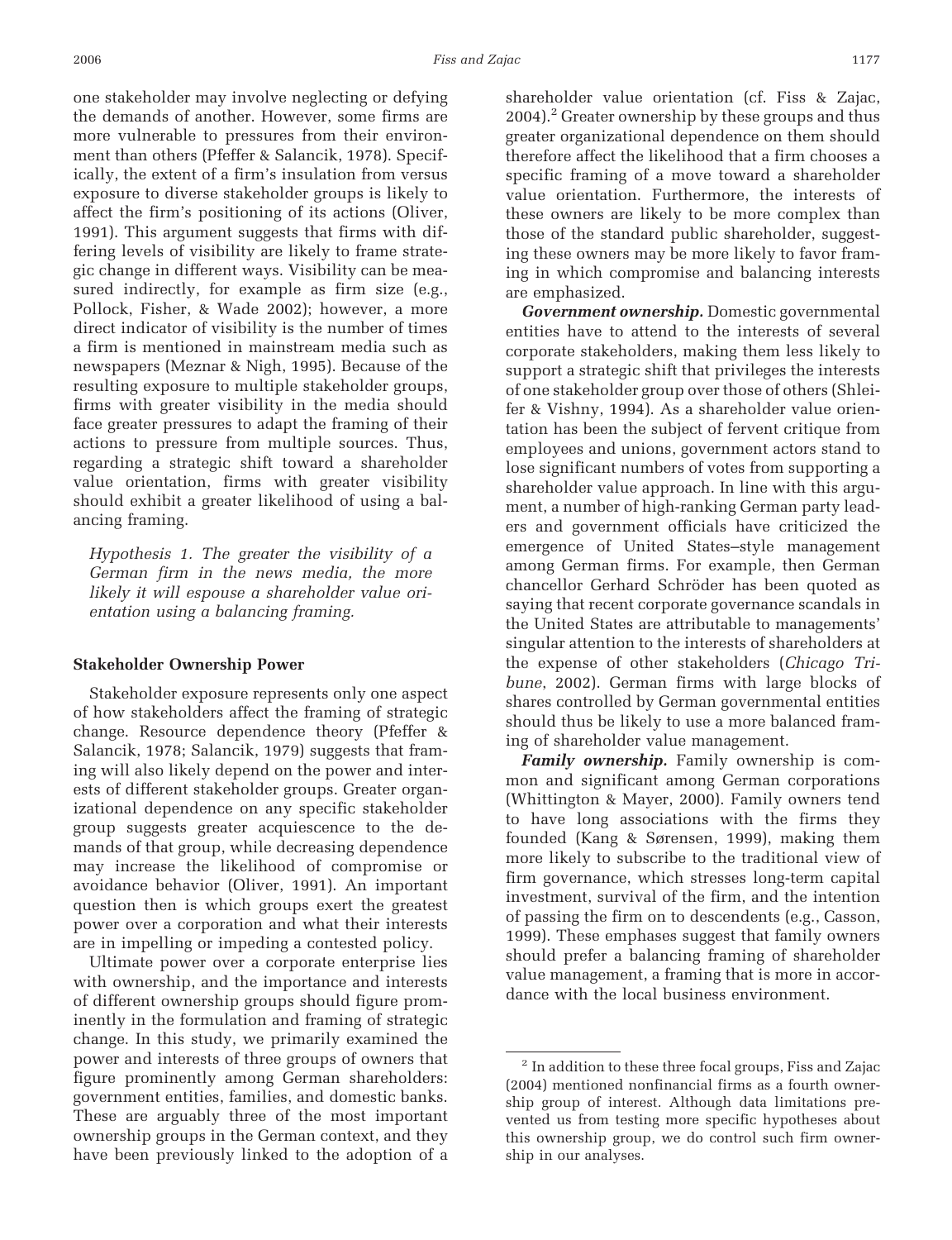one stakeholder may involve neglecting or defying the demands of another. However, some firms are more vulnerable to pressures from their environment than others (Pfeffer & Salancik, 1978). Specifically, the extent of a firm's insulation from versus exposure to diverse stakeholder groups is likely to affect the firm's positioning of its actions (Oliver, 1991). This argument suggests that firms with differing levels of visibility are likely to frame strategic change in different ways. Visibility can be measured indirectly, for example as firm size (e.g., Pollock, Fisher, & Wade 2002); however, a more direct indicator of visibility is the number of times a firm is mentioned in mainstream media such as newspapers (Meznar & Nigh, 1995). Because of the resulting exposure to multiple stakeholder groups, firms with greater visibility in the media should face greater pressures to adapt the framing of their actions to pressure from multiple sources. Thus, regarding a strategic shift toward a shareholder value orientation, firms with greater visibility should exhibit a greater likelihood of using a balancing framing.

*Hypothesis 1. The greater the visibility of a German firm in the news media, the more likely it will espouse a shareholder value orientation using a balancing framing.*

#### **Stakeholder Ownership Power**

Stakeholder exposure represents only one aspect of how stakeholders affect the framing of strategic change. Resource dependence theory (Pfeffer & Salancik, 1978; Salancik, 1979) suggests that framing will also likely depend on the power and interests of different stakeholder groups. Greater organizational dependence on any specific stakeholder group suggests greater acquiescence to the demands of that group, while decreasing dependence may increase the likelihood of compromise or avoidance behavior (Oliver, 1991). An important question then is which groups exert the greatest power over a corporation and what their interests are in impelling or impeding a contested policy.

Ultimate power over a corporate enterprise lies with ownership, and the importance and interests of different ownership groups should figure prominently in the formulation and framing of strategic change. In this study, we primarily examined the power and interests of three groups of owners that figure prominently among German shareholders: government entities, families, and domestic banks. These are arguably three of the most important ownership groups in the German context, and they have been previously linked to the adoption of a shareholder value orientation (cf. Fiss & Zajac,  $2004$ .<sup>2</sup> Greater ownership by these groups and thus greater organizational dependence on them should therefore affect the likelihood that a firm chooses a specific framing of a move toward a shareholder value orientation. Furthermore, the interests of these owners are likely to be more complex than those of the standard public shareholder, suggesting these owners may be more likely to favor framing in which compromise and balancing interests are emphasized.

*Government ownership.* Domestic governmental entities have to attend to the interests of several corporate stakeholders, making them less likely to support a strategic shift that privileges the interests of one stakeholder group over those of others (Shleifer & Vishny, 1994). As a shareholder value orientation has been the subject of fervent critique from employees and unions, government actors stand to lose significant numbers of votes from supporting a shareholder value approach. In line with this argument, a number of high-ranking German party leaders and government officials have criticized the emergence of United States–style management among German firms. For example, then German chancellor Gerhard Schröder has been quoted as saying that recent corporate governance scandals in the United States are attributable to managements' singular attention to the interests of shareholders at the expense of other stakeholders (*Chicago Tribune*, 2002). German firms with large blocks of shares controlled by German governmental entities should thus be likely to use a more balanced framing of shareholder value management.

*Family ownership.* Family ownership is common and significant among German corporations (Whittington & Mayer, 2000). Family owners tend to have long associations with the firms they founded (Kang & Sørensen, 1999), making them more likely to subscribe to the traditional view of firm governance, which stresses long-term capital investment, survival of the firm, and the intention of passing the firm on to descendents (e.g., Casson, 1999). These emphases suggest that family owners should prefer a balancing framing of shareholder value management, a framing that is more in accordance with the local business environment.

<sup>2</sup> In addition to these three focal groups, Fiss and Zajac (2004) mentioned nonfinancial firms as a fourth ownership group of interest. Although data limitations prevented us from testing more specific hypotheses about this ownership group, we do control such firm ownership in our analyses.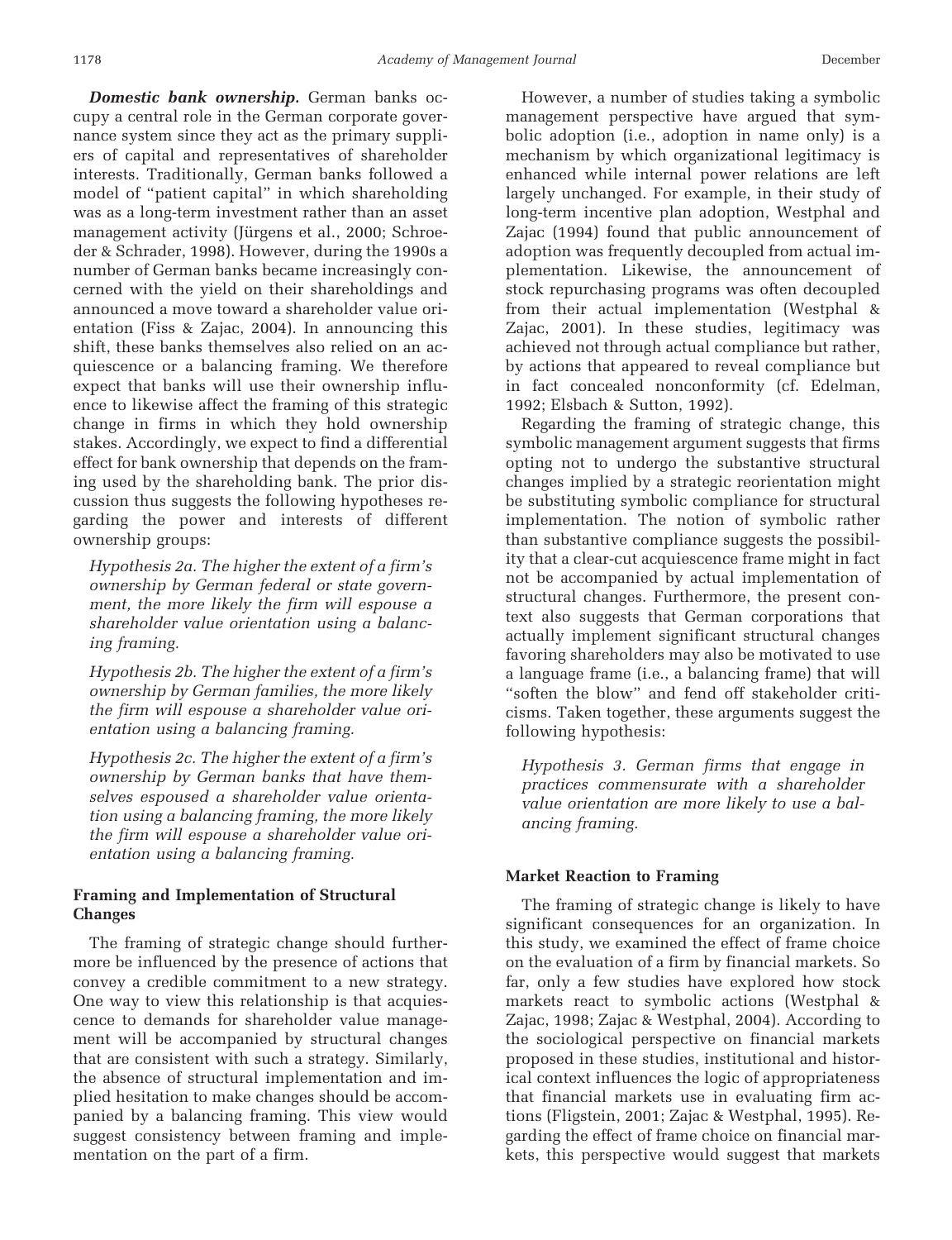*Domestic bank ownership.* German banks occupy a central role in the German corporate governance system since they act as the primary suppliers of capital and representatives of shareholder interests. Traditionally, German banks followed a model of "patient capital" in which shareholding was as a long-term investment rather than an asset management activity (Jürgens et al., 2000; Schroeder & Schrader, 1998). However, during the 1990s a number of German banks became increasingly concerned with the yield on their shareholdings and announced a move toward a shareholder value orientation (Fiss & Zajac, 2004). In announcing this shift, these banks themselves also relied on an acquiescence or a balancing framing. We therefore expect that banks will use their ownership influence to likewise affect the framing of this strategic change in firms in which they hold ownership stakes. Accordingly, we expect to find a differential effect for bank ownership that depends on the framing used by the shareholding bank. The prior discussion thus suggests the following hypotheses regarding the power and interests of different ownership groups:

*Hypothesis 2a. The higher the extent of a firm's ownership by German federal or state government, the more likely the firm will espouse a shareholder value orientation using a balancing framing.*

*Hypothesis 2b. The higher the extent of a firm's ownership by German families, the more likely the firm will espouse a shareholder value orientation using a balancing framing.*

*Hypothesis 2c. The higher the extent of a firm's ownership by German banks that have themselves espoused a shareholder value orientation using a balancing framing, the more likely the firm will espouse a shareholder value orientation using a balancing framing.*

# **Framing and Implementation of Structural Changes**

The framing of strategic change should furthermore be influenced by the presence of actions that convey a credible commitment to a new strategy. One way to view this relationship is that acquiescence to demands for shareholder value management will be accompanied by structural changes that are consistent with such a strategy. Similarly, the absence of structural implementation and implied hesitation to make changes should be accompanied by a balancing framing. This view would suggest consistency between framing and implementation on the part of a firm.

However, a number of studies taking a symbolic management perspective have argued that symbolic adoption (i.e., adoption in name only) is a mechanism by which organizational legitimacy is enhanced while internal power relations are left largely unchanged. For example, in their study of long-term incentive plan adoption, Westphal and Zajac (1994) found that public announcement of adoption was frequently decoupled from actual implementation. Likewise, the announcement of stock repurchasing programs was often decoupled from their actual implementation (Westphal & Zajac, 2001). In these studies, legitimacy was achieved not through actual compliance but rather, by actions that appeared to reveal compliance but in fact concealed nonconformity (cf. Edelman, 1992; Elsbach & Sutton, 1992).

Regarding the framing of strategic change, this symbolic management argument suggests that firms opting not to undergo the substantive structural changes implied by a strategic reorientation might be substituting symbolic compliance for structural implementation. The notion of symbolic rather than substantive compliance suggests the possibility that a clear-cut acquiescence frame might in fact not be accompanied by actual implementation of structural changes. Furthermore, the present context also suggests that German corporations that actually implement significant structural changes favoring shareholders may also be motivated to use a language frame (i.e., a balancing frame) that will "soften the blow" and fend off stakeholder criticisms. Taken together, these arguments suggest the following hypothesis:

*Hypothesis 3. German firms that engage in practices commensurate with a shareholder value orientation are more likely to use a balancing framing.*

# **Market Reaction to Framing**

The framing of strategic change is likely to have significant consequences for an organization. In this study, we examined the effect of frame choice on the evaluation of a firm by financial markets. So far, only a few studies have explored how stock markets react to symbolic actions (Westphal & Zajac, 1998; Zajac & Westphal, 2004). According to the sociological perspective on financial markets proposed in these studies, institutional and historical context influences the logic of appropriateness that financial markets use in evaluating firm actions (Fligstein, 2001; Zajac & Westphal, 1995). Regarding the effect of frame choice on financial markets, this perspective would suggest that markets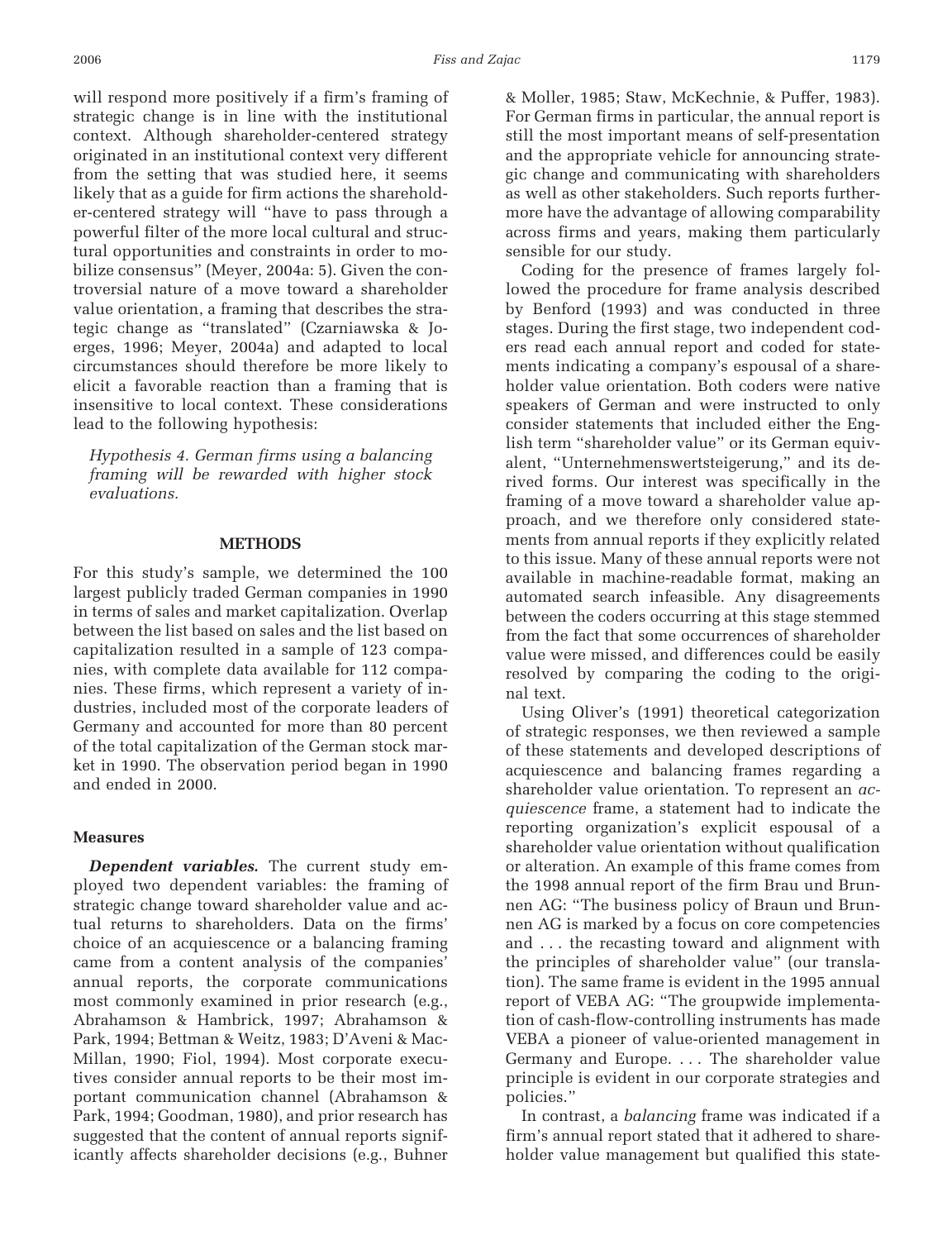will respond more positively if a firm's framing of strategic change is in line with the institutional context. Although shareholder-centered strategy originated in an institutional context very different from the setting that was studied here, it seems likely that as a guide for firm actions the shareholder-centered strategy will "have to pass through a powerful filter of the more local cultural and structural opportunities and constraints in order to mobilize consensus" (Meyer, 2004a: 5). Given the controversial nature of a move toward a shareholder value orientation, a framing that describes the strategic change as "translated" (Czarniawska & Joerges, 1996; Meyer, 2004a) and adapted to local circumstances should therefore be more likely to elicit a favorable reaction than a framing that is insensitive to local context. These considerations lead to the following hypothesis:

*Hypothesis 4. German firms using a balancing framing will be rewarded with higher stock evaluations.*

#### **METHODS**

For this study's sample, we determined the 100 largest publicly traded German companies in 1990 in terms of sales and market capitalization. Overlap between the list based on sales and the list based on capitalization resulted in a sample of 123 companies, with complete data available for 112 companies. These firms, which represent a variety of industries, included most of the corporate leaders of Germany and accounted for more than 80 percent of the total capitalization of the German stock market in 1990. The observation period began in 1990 and ended in 2000.

#### **Measures**

*Dependent variables.* The current study employed two dependent variables: the framing of strategic change toward shareholder value and actual returns to shareholders. Data on the firms' choice of an acquiescence or a balancing framing came from a content analysis of the companies' annual reports, the corporate communications most commonly examined in prior research (e.g., Abrahamson & Hambrick, 1997; Abrahamson & Park, 1994; Bettman & Weitz, 1983; D'Aveni & Mac-Millan, 1990; Fiol, 1994). Most corporate executives consider annual reports to be their most important communication channel (Abrahamson & Park, 1994; Goodman, 1980), and prior research has suggested that the content of annual reports significantly affects shareholder decisions (e.g., Buhner

& Moller, 1985; Staw, McKechnie, & Puffer, 1983). For German firms in particular, the annual report is still the most important means of self-presentation and the appropriate vehicle for announcing strategic change and communicating with shareholders as well as other stakeholders. Such reports furthermore have the advantage of allowing comparability across firms and years, making them particularly sensible for our study.

Coding for the presence of frames largely followed the procedure for frame analysis described by Benford (1993) and was conducted in three stages. During the first stage, two independent coders read each annual report and coded for statements indicating a company's espousal of a shareholder value orientation. Both coders were native speakers of German and were instructed to only consider statements that included either the English term "shareholder value" or its German equivalent, "Unternehmenswertsteigerung," and its derived forms. Our interest was specifically in the framing of a move toward a shareholder value approach, and we therefore only considered statements from annual reports if they explicitly related to this issue. Many of these annual reports were not available in machine-readable format, making an automated search infeasible. Any disagreements between the coders occurring at this stage stemmed from the fact that some occurrences of shareholder value were missed, and differences could be easily resolved by comparing the coding to the original text.

Using Oliver's (1991) theoretical categorization of strategic responses, we then reviewed a sample of these statements and developed descriptions of acquiescence and balancing frames regarding a shareholder value orientation. To represent an *acquiescence* frame, a statement had to indicate the reporting organization's explicit espousal of a shareholder value orientation without qualification or alteration. An example of this frame comes from the 1998 annual report of the firm Brau und Brunnen AG: "The business policy of Braun und Brunnen AG is marked by a focus on core competencies and . . . the recasting toward and alignment with the principles of shareholder value" (our translation). The same frame is evident in the 1995 annual report of VEBA AG: "The groupwide implementation of cash-flow-controlling instruments has made VEBA a pioneer of value-oriented management in Germany and Europe. . . . The shareholder value principle is evident in our corporate strategies and policies."

In contrast, a *balancing* frame was indicated if a firm's annual report stated that it adhered to shareholder value management but qualified this state-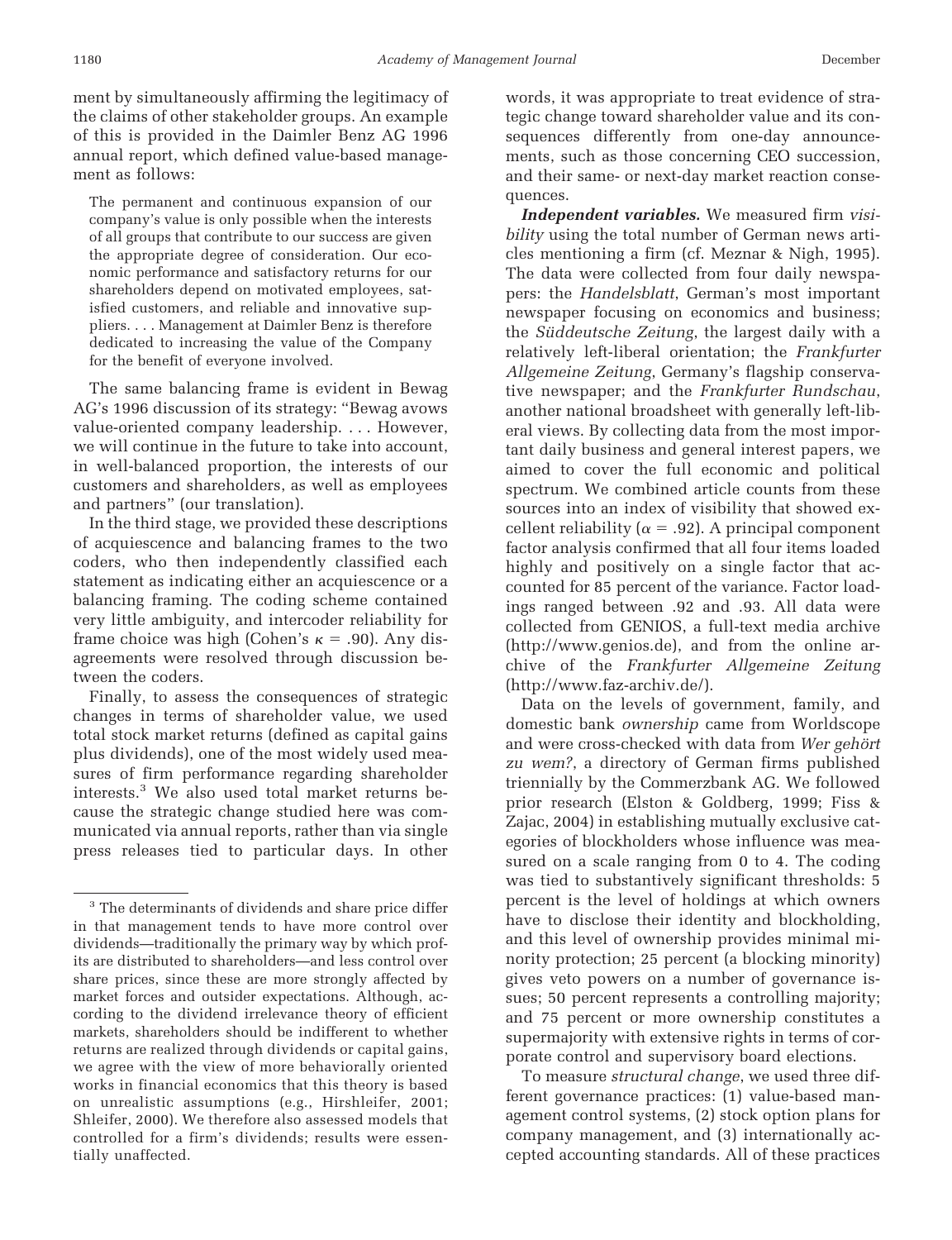ment by simultaneously affirming the legitimacy of the claims of other stakeholder groups. An example of this is provided in the Daimler Benz AG 1996 annual report, which defined value-based management as follows:

The permanent and continuous expansion of our company's value is only possible when the interests of all groups that contribute to our success are given the appropriate degree of consideration. Our economic performance and satisfactory returns for our shareholders depend on motivated employees, satisfied customers, and reliable and innovative suppliers. . . . Management at Daimler Benz is therefore dedicated to increasing the value of the Company for the benefit of everyone involved.

The same balancing frame is evident in Bewag AG's 1996 discussion of its strategy: "Bewag avows value-oriented company leadership. . . . However, we will continue in the future to take into account, in well-balanced proportion, the interests of our customers and shareholders, as well as employees and partners" (our translation).

In the third stage, we provided these descriptions of acquiescence and balancing frames to the two coders, who then independently classified each statement as indicating either an acquiescence or a balancing framing. The coding scheme contained very little ambiguity, and intercoder reliability for frame choice was high (Cohen's  $\kappa = .90$ ). Any disagreements were resolved through discussion between the coders.

Finally, to assess the consequences of strategic changes in terms of shareholder value, we used total stock market returns (defined as capital gains plus dividends), one of the most widely used measures of firm performance regarding shareholder interests.3 We also used total market returns because the strategic change studied here was communicated via annual reports, rather than via single press releases tied to particular days. In other words, it was appropriate to treat evidence of strategic change toward shareholder value and its consequences differently from one-day announcements, such as those concerning CEO succession, and their same- or next-day market reaction consequences.

*Independent variables.* We measured firm *visibility* using the total number of German news articles mentioning a firm (cf. Meznar & Nigh, 1995). The data were collected from four daily newspapers: the *Handelsblatt*, German's most important newspaper focusing on economics and business; the *Süddeutsche Zeitung*, the largest daily with a relatively left-liberal orientation; the *Frankfurter Allgemeine Zeitung*, Germany's flagship conservative newspaper; and the *Frankfurter Rundschau*, another national broadsheet with generally left-liberal views. By collecting data from the most important daily business and general interest papers, we aimed to cover the full economic and political spectrum. We combined article counts from these sources into an index of visibility that showed excellent reliability ( $\alpha$  = .92). A principal component factor analysis confirmed that all four items loaded highly and positively on a single factor that accounted for 85 percent of the variance. Factor loadings ranged between .92 and .93. All data were collected from GENIOS, a full-text media archive (http://www.genios.de), and from the online archive of the *Frankfurter Allgemeine Zeitung* (http://www.faz-archiv.de/).

Data on the levels of government, family, and domestic bank *ownership* came from Worldscope and were cross-checked with data from *Wer gehört zu wem?*, a directory of German firms published triennially by the Commerzbank AG. We followed prior research (Elston & Goldberg, 1999; Fiss & Zajac, 2004) in establishing mutually exclusive categories of blockholders whose influence was measured on a scale ranging from 0 to 4. The coding was tied to substantively significant thresholds: 5 percent is the level of holdings at which owners have to disclose their identity and blockholding, and this level of ownership provides minimal minority protection; 25 percent (a blocking minority) gives veto powers on a number of governance issues; 50 percent represents a controlling majority; and 75 percent or more ownership constitutes a supermajority with extensive rights in terms of corporate control and supervisory board elections.

To measure *structural change*, we used three different governance practices: (1) value-based management control systems, (2) stock option plans for company management, and (3) internationally accepted accounting standards. All of these practices

<sup>&</sup>lt;sup>3</sup> The determinants of dividends and share price differ in that management tends to have more control over dividends—traditionally the primary way by which profits are distributed to shareholders—and less control over share prices, since these are more strongly affected by market forces and outsider expectations. Although, according to the dividend irrelevance theory of efficient markets, shareholders should be indifferent to whether returns are realized through dividends or capital gains, we agree with the view of more behaviorally oriented works in financial economics that this theory is based on unrealistic assumptions (e.g., Hirshleifer, 2001; Shleifer, 2000). We therefore also assessed models that controlled for a firm's dividends; results were essentially unaffected.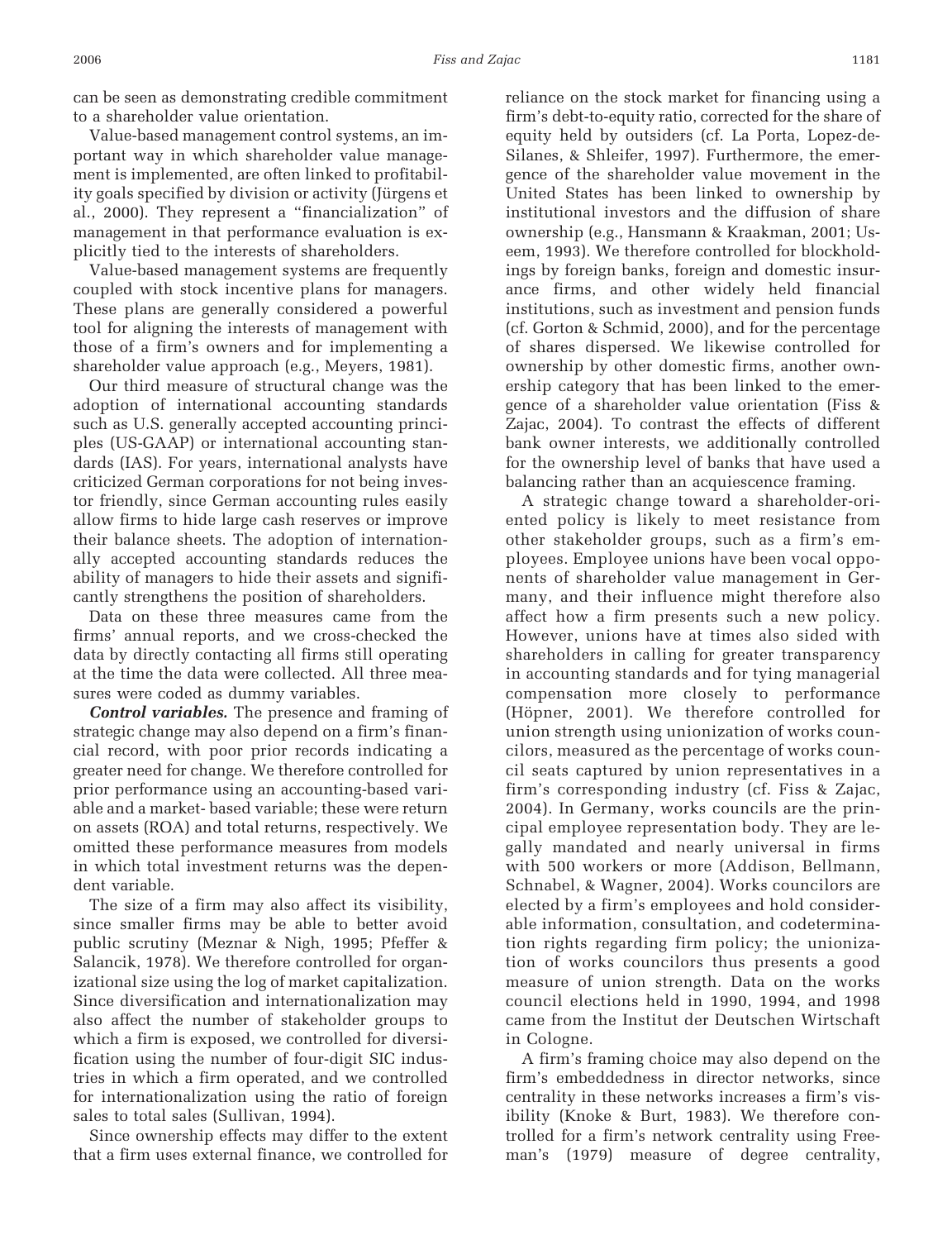can be seen as demonstrating credible commitment to a shareholder value orientation.

Value-based management control systems, an important way in which shareholder value management is implemented, are often linked to profitability goals specified by division or activity (Jürgens et al., 2000). They represent a "financialization" of management in that performance evaluation is explicitly tied to the interests of shareholders.

Value-based management systems are frequently coupled with stock incentive plans for managers. These plans are generally considered a powerful tool for aligning the interests of management with those of a firm's owners and for implementing a shareholder value approach (e.g., Meyers, 1981).

Our third measure of structural change was the adoption of international accounting standards such as U.S. generally accepted accounting principles (US-GAAP) or international accounting standards (IAS). For years, international analysts have criticized German corporations for not being investor friendly, since German accounting rules easily allow firms to hide large cash reserves or improve their balance sheets. The adoption of internationally accepted accounting standards reduces the ability of managers to hide their assets and significantly strengthens the position of shareholders.

Data on these three measures came from the firms' annual reports, and we cross-checked the data by directly contacting all firms still operating at the time the data were collected. All three measures were coded as dummy variables.

*Control variables.* The presence and framing of strategic change may also depend on a firm's financial record, with poor prior records indicating a greater need for change. We therefore controlled for prior performance using an accounting-based variable and a market- based variable; these were return on assets (ROA) and total returns, respectively. We omitted these performance measures from models in which total investment returns was the dependent variable.

The size of a firm may also affect its visibility, since smaller firms may be able to better avoid public scrutiny (Meznar & Nigh, 1995; Pfeffer & Salancik, 1978). We therefore controlled for organizational size using the log of market capitalization. Since diversification and internationalization may also affect the number of stakeholder groups to which a firm is exposed, we controlled for diversification using the number of four-digit SIC industries in which a firm operated, and we controlled for internationalization using the ratio of foreign sales to total sales (Sullivan, 1994).

Since ownership effects may differ to the extent that a firm uses external finance, we controlled for reliance on the stock market for financing using a firm's debt-to-equity ratio, corrected for the share of equity held by outsiders (cf. La Porta, Lopez-de-Silanes, & Shleifer, 1997). Furthermore, the emergence of the shareholder value movement in the United States has been linked to ownership by institutional investors and the diffusion of share ownership (e.g., Hansmann & Kraakman, 2001; Useem, 1993). We therefore controlled for blockholdings by foreign banks, foreign and domestic insurance firms, and other widely held financial institutions, such as investment and pension funds (cf. Gorton & Schmid, 2000), and for the percentage of shares dispersed. We likewise controlled for ownership by other domestic firms, another ownership category that has been linked to the emergence of a shareholder value orientation (Fiss & Zajac, 2004). To contrast the effects of different bank owner interests, we additionally controlled for the ownership level of banks that have used a balancing rather than an acquiescence framing.

A strategic change toward a shareholder-oriented policy is likely to meet resistance from other stakeholder groups, such as a firm's employees. Employee unions have been vocal opponents of shareholder value management in Germany, and their influence might therefore also affect how a firm presents such a new policy. However, unions have at times also sided with shareholders in calling for greater transparency in accounting standards and for tying managerial compensation more closely to performance (Höpner, 2001). We therefore controlled for union strength using unionization of works councilors, measured as the percentage of works council seats captured by union representatives in a firm's corresponding industry (cf. Fiss & Zajac, 2004). In Germany, works councils are the principal employee representation body. They are legally mandated and nearly universal in firms with 500 workers or more (Addison, Bellmann, Schnabel, & Wagner, 2004). Works councilors are elected by a firm's employees and hold considerable information, consultation, and codetermination rights regarding firm policy; the unionization of works councilors thus presents a good measure of union strength. Data on the works council elections held in 1990, 1994, and 1998 came from the Institut der Deutschen Wirtschaft in Cologne.

A firm's framing choice may also depend on the firm's embeddedness in director networks, since centrality in these networks increases a firm's visibility (Knoke & Burt, 1983). We therefore controlled for a firm's network centrality using Freeman's (1979) measure of degree centrality,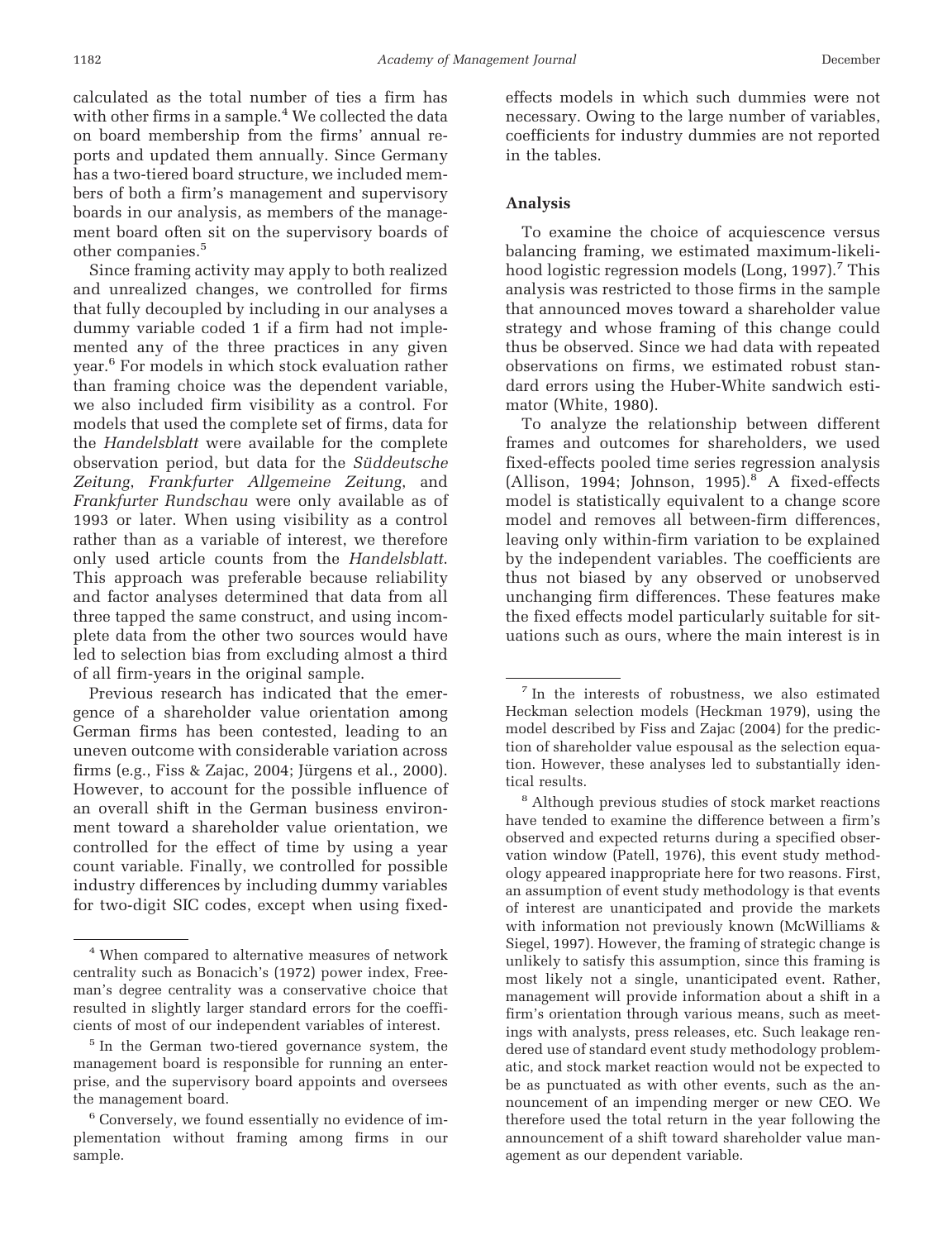calculated as the total number of ties a firm has with other firms in a sample. $4$  We collected the data on board membership from the firms' annual reports and updated them annually. Since Germany has a two-tiered board structure, we included members of both a firm's management and supervisory boards in our analysis, as members of the management board often sit on the supervisory boards of other companies.<sup>5</sup>

Since framing activity may apply to both realized and unrealized changes, we controlled for firms that fully decoupled by including in our analyses a dummy variable coded 1 if a firm had not implemented any of the three practices in any given year.<sup>6</sup> For models in which stock evaluation rather than framing choice was the dependent variable, we also included firm visibility as a control. For models that used the complete set of firms, data for the *Handelsblatt* were available for the complete observation period, but data for the *Su¨ ddeutsche Zeitung*, *Frankfurter Allgemeine Zeitung*, and *Frankfurter Rundschau* were only available as of 1993 or later. When using visibility as a control rather than as a variable of interest, we therefore only used article counts from the *Handelsblatt*. This approach was preferable because reliability and factor analyses determined that data from all three tapped the same construct, and using incomplete data from the other two sources would have led to selection bias from excluding almost a third of all firm-years in the original sample.

Previous research has indicated that the emergence of a shareholder value orientation among German firms has been contested, leading to an uneven outcome with considerable variation across firms (e.g., Fiss & Zajac, 2004; Jürgens et al., 2000). However, to account for the possible influence of an overall shift in the German business environment toward a shareholder value orientation, we controlled for the effect of time by using a year count variable. Finally, we controlled for possible industry differences by including dummy variables for two-digit SIC codes, except when using fixedeffects models in which such dummies were not necessary. Owing to the large number of variables, coefficients for industry dummies are not reported in the tables.

#### **Analysis**

To examine the choice of acquiescence versus balancing framing, we estimated maximum-likelihood logistic regression models (Long, 1997).<sup>7</sup> This analysis was restricted to those firms in the sample that announced moves toward a shareholder value strategy and whose framing of this change could thus be observed. Since we had data with repeated observations on firms, we estimated robust standard errors using the Huber-White sandwich estimator (White, 1980).

To analyze the relationship between different frames and outcomes for shareholders, we used fixed-effects pooled time series regression analysis (Allison, 1994; Johnson, 1995). $8$  A fixed-effects model is statistically equivalent to a change score model and removes all between-firm differences, leaving only within-firm variation to be explained by the independent variables. The coefficients are thus not biased by any observed or unobserved unchanging firm differences. These features make the fixed effects model particularly suitable for situations such as ours, where the main interest is in

<sup>4</sup> When compared to alternative measures of network centrality such as Bonacich's (1972) power index, Freeman's degree centrality was a conservative choice that resulted in slightly larger standard errors for the coefficients of most of our independent variables of interest.

<sup>&</sup>lt;sup>5</sup> In the German two-tiered governance system, the management board is responsible for running an enterprise, and the supervisory board appoints and oversees the management board.

<sup>6</sup> Conversely, we found essentially no evidence of implementation without framing among firms in our sample.

<sup>&</sup>lt;sup>7</sup> In the interests of robustness, we also estimated Heckman selection models (Heckman 1979), using the model described by Fiss and Zajac (2004) for the prediction of shareholder value espousal as the selection equation. However, these analyses led to substantially identical results.

<sup>8</sup> Although previous studies of stock market reactions have tended to examine the difference between a firm's observed and expected returns during a specified observation window (Patell, 1976), this event study methodology appeared inappropriate here for two reasons. First, an assumption of event study methodology is that events of interest are unanticipated and provide the markets with information not previously known (McWilliams & Siegel, 1997). However, the framing of strategic change is unlikely to satisfy this assumption, since this framing is most likely not a single, unanticipated event. Rather, management will provide information about a shift in a firm's orientation through various means, such as meetings with analysts, press releases, etc. Such leakage rendered use of standard event study methodology problematic, and stock market reaction would not be expected to be as punctuated as with other events, such as the announcement of an impending merger or new CEO. We therefore used the total return in the year following the announcement of a shift toward shareholder value management as our dependent variable.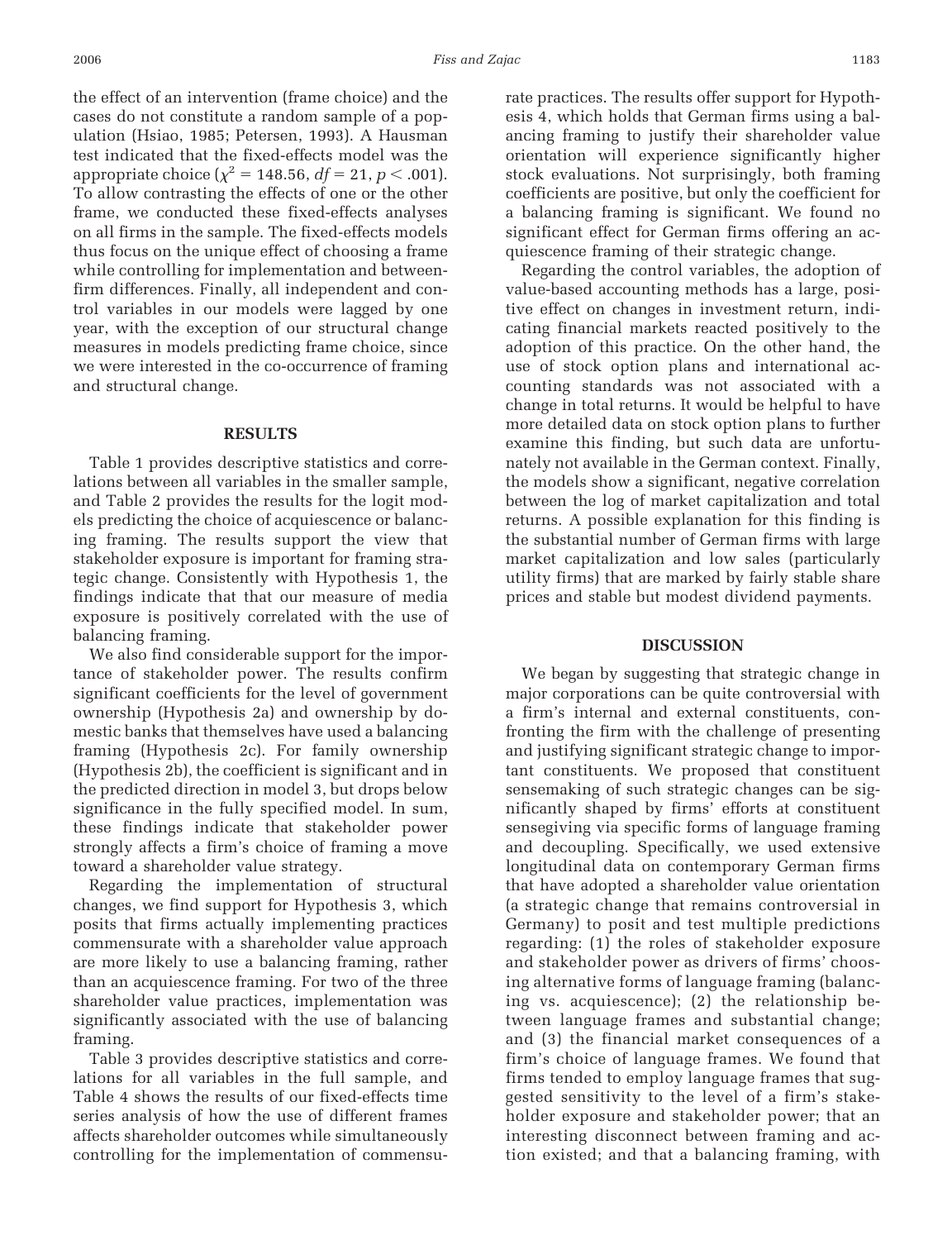the effect of an intervention (frame choice) and the cases do not constitute a random sample of a population (Hsiao, 1985; Petersen, 1993). A Hausman test indicated that the fixed-effects model was the appropriate choice ( $\chi^2 = 148.56$ , *df* = 21, *p* < .001). To allow contrasting the effects of one or the other frame, we conducted these fixed-effects analyses on all firms in the sample. The fixed-effects models thus focus on the unique effect of choosing a frame while controlling for implementation and betweenfirm differences. Finally, all independent and control variables in our models were lagged by one year, with the exception of our structural change measures in models predicting frame choice, since we were interested in the co-occurrence of framing and structural change.

#### **RESULTS**

Table 1 provides descriptive statistics and correlations between all variables in the smaller sample, and Table 2 provides the results for the logit models predicting the choice of acquiescence or balancing framing. The results support the view that stakeholder exposure is important for framing strategic change. Consistently with Hypothesis 1, the findings indicate that that our measure of media exposure is positively correlated with the use of balancing framing.

We also find considerable support for the importance of stakeholder power. The results confirm significant coefficients for the level of government ownership (Hypothesis 2a) and ownership by domestic banks that themselves have used a balancing framing (Hypothesis 2c). For family ownership (Hypothesis 2b), the coefficient is significant and in the predicted direction in model 3, but drops below significance in the fully specified model. In sum, these findings indicate that stakeholder power strongly affects a firm's choice of framing a move toward a shareholder value strategy.

Regarding the implementation of structural changes, we find support for Hypothesis 3, which posits that firms actually implementing practices commensurate with a shareholder value approach are more likely to use a balancing framing, rather than an acquiescence framing. For two of the three shareholder value practices, implementation was significantly associated with the use of balancing framing.

Table 3 provides descriptive statistics and correlations for all variables in the full sample, and Table 4 shows the results of our fixed-effects time series analysis of how the use of different frames affects shareholder outcomes while simultaneously controlling for the implementation of commensurate practices. The results offer support for Hypothesis 4, which holds that German firms using a balancing framing to justify their shareholder value orientation will experience significantly higher stock evaluations. Not surprisingly, both framing coefficients are positive, but only the coefficient for a balancing framing is significant. We found no significant effect for German firms offering an acquiescence framing of their strategic change.

Regarding the control variables, the adoption of value-based accounting methods has a large, positive effect on changes in investment return, indicating financial markets reacted positively to the adoption of this practice. On the other hand, the use of stock option plans and international accounting standards was not associated with a change in total returns. It would be helpful to have more detailed data on stock option plans to further examine this finding, but such data are unfortunately not available in the German context. Finally, the models show a significant, negative correlation between the log of market capitalization and total returns. A possible explanation for this finding is the substantial number of German firms with large market capitalization and low sales (particularly utility firms) that are marked by fairly stable share prices and stable but modest dividend payments.

#### **DISCUSSION**

We began by suggesting that strategic change in major corporations can be quite controversial with a firm's internal and external constituents, confronting the firm with the challenge of presenting and justifying significant strategic change to important constituents. We proposed that constituent sensemaking of such strategic changes can be significantly shaped by firms' efforts at constituent sensegiving via specific forms of language framing and decoupling. Specifically, we used extensive longitudinal data on contemporary German firms that have adopted a shareholder value orientation (a strategic change that remains controversial in Germany) to posit and test multiple predictions regarding: (1) the roles of stakeholder exposure and stakeholder power as drivers of firms' choosing alternative forms of language framing (balancing vs. acquiescence); (2) the relationship between language frames and substantial change; and (3) the financial market consequences of a firm's choice of language frames. We found that firms tended to employ language frames that suggested sensitivity to the level of a firm's stakeholder exposure and stakeholder power; that an interesting disconnect between framing and action existed; and that a balancing framing, with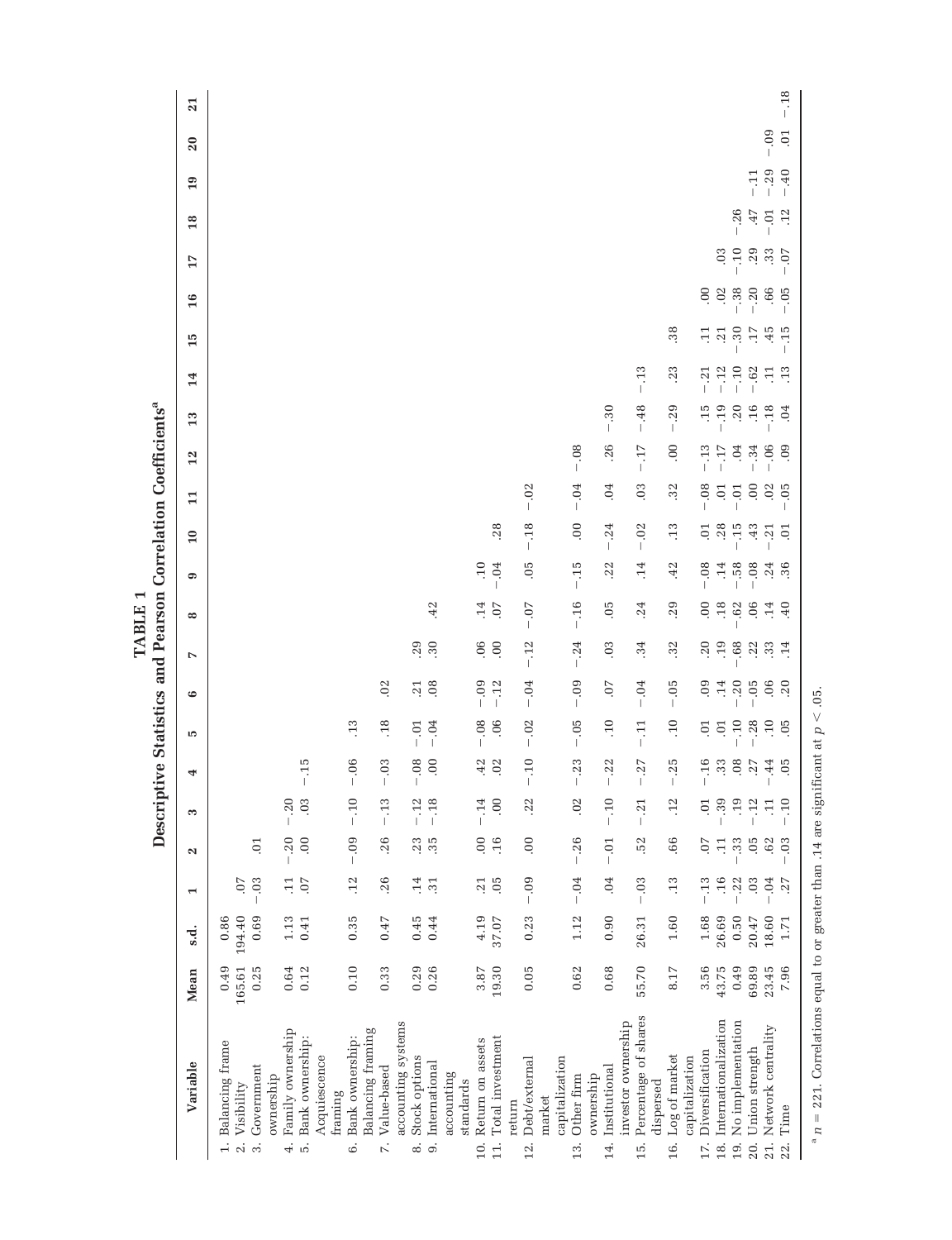|                                                             |                |                |                       |                                     | Descri                              | iptive:                | <b>Statistics and Pearson</b>    |                                                              |                          |                                        | Correlation                                    |                     |                       | Coefficients <sup>a</sup>      |                       |                                             |                                                  |           |                 |                                                             |                           |     |        |
|-------------------------------------------------------------|----------------|----------------|-----------------------|-------------------------------------|-------------------------------------|------------------------|----------------------------------|--------------------------------------------------------------|--------------------------|----------------------------------------|------------------------------------------------|---------------------|-----------------------|--------------------------------|-----------------------|---------------------------------------------|--------------------------------------------------|-----------|-----------------|-------------------------------------------------------------|---------------------------|-----|--------|
| Variable                                                    | Mean           | s.d.           | $\overline{ }$        | $\mathbf{N}$                        | s                                   | 4                      | <b>IQ</b>                        | అ                                                            | $\overline{\phantom{a}}$ | $\infty$                               | G                                              | $\overline{10}$     | $\overline{11}$       | 12                             | 13                    | $\overline{\phantom{0}}$<br>$\overline{14}$ | $\overline{\phantom{0}}$<br>5                    | ٥         | 17              | 19<br>18                                                    | 20                        | 21  |        |
| Balancing frame<br>Visibility<br>$\div$<br>$\overline{a}$   | 0.49<br>165.61 | 194.40<br>0.86 | $\overline{0}$ .      |                                     |                                     |                        |                                  |                                                              |                          |                                        |                                                |                     |                       |                                |                       |                                             |                                                  |           |                 |                                                             |                           |     |        |
| Government<br>ownership<br>$\ddot{\mathrm{c}}$              | 0.25           | 0.69           | $-0.03$               | 01                                  |                                     |                        |                                  |                                                              |                          |                                        |                                                |                     |                       |                                |                       |                                             |                                                  |           |                 |                                                             |                           |     |        |
| Family ownership<br>4.                                      | 0.64           | 1.13           | $\overline{11}$       | $-.20$                              | $-2($                               |                        |                                  |                                                              |                          |                                        |                                                |                     |                       |                                |                       |                                             |                                                  |           |                 |                                                             |                           |     |        |
| Bank ownership:<br>ယ်                                       | 0.12           | 0.41           | 07                    | 00                                  | 03                                  | S<br>금<br>-            |                                  |                                                              |                          |                                        |                                                |                     |                       |                                |                       |                                             |                                                  |           |                 |                                                             |                           |     |        |
| Acquiescence<br>framing                                     |                |                |                       |                                     |                                     |                        |                                  |                                                              |                          |                                        |                                                |                     |                       |                                |                       |                                             |                                                  |           |                 |                                                             |                           |     |        |
| Bank ownership:<br>Ġ                                        | 0.10           | 0.35           | .12                   | $-0.09$                             | $-10$                               | $-0.06$                | S<br>H                           |                                                              |                          |                                        |                                                |                     |                       |                                |                       |                                             |                                                  |           |                 |                                                             |                           |     |        |
| Balancing framing<br>Value-based<br>$\ddot{\sim}$           | 0.33           | 0.47           | .26                   | .26                                 | $-.13$                              | $-.03$                 | .18                              | .02                                                          |                          |                                        |                                                |                     |                       |                                |                       |                                             |                                                  |           |                 |                                                             |                           |     |        |
| accounting systems                                          |                |                |                       |                                     |                                     |                        |                                  |                                                              |                          |                                        |                                                |                     |                       |                                |                       |                                             |                                                  |           |                 |                                                             |                           |     |        |
| Stock options<br>International<br>$\dot{\circ}$<br>$\infty$ | 0.29<br>0.26   | 0.45<br>0.44   | .14<br>$\ddot{3}$     | .23<br>35                           | $-.12$<br>$-18$                     | $-0.08$<br>.00         | $-0.04$<br>$-0.01$               | 08<br>21                                                     | 29<br>30                 | .42                                    |                                                |                     |                       |                                |                       |                                             |                                                  |           |                 |                                                             |                           |     |        |
| accounting<br>standards                                     |                |                |                       |                                     |                                     |                        |                                  |                                                              |                          |                                        |                                                |                     |                       |                                |                       |                                             |                                                  |           |                 |                                                             |                           |     |        |
| Return on assets<br>$10.$                                   | 3.87           | 4.19           | $\overline{21}$       | 00                                  | $-.14$                              | $-42$                  | $-0.08$                          | 0.0<br>$\overline{1}$                                        | 06                       | .14                                    | $\overline{10}$                                |                     |                       |                                |                       |                                             |                                                  |           |                 |                                                             |                           |     |        |
| Total investment<br>$\overline{11}$ .                       | 19.30          | 37.07          | 0 <sub>5</sub>        | .16                                 | 00                                  | .02                    | .06                              | $-12$                                                        | 00                       | $\overline{1}$<br>07                   | .04                                            | .28                 |                       |                                |                       |                                             |                                                  |           |                 |                                                             |                           |     |        |
| Debt/external<br>return<br>12.                              |                |                |                       |                                     |                                     |                        |                                  |                                                              |                          |                                        |                                                |                     |                       |                                |                       |                                             |                                                  |           |                 |                                                             |                           |     |        |
| market                                                      | 0.05           | 0.23           | $-0.09$               | 00                                  | .22                                 | $-.10$                 | .02<br>T                         | .04<br>$\begin{array}{c} \hline \end{array}$                 | $\overline{1}$<br>$-.12$ | $\sim$                                 | $\mathbf{I}$<br>05                             | $\mathbf{L}$<br>.18 | .02                   |                                |                       |                                             |                                                  |           |                 |                                                             |                           |     |        |
| capitalization<br>Other firm<br>13.                         | 0.62           | 1.12           | $-0.04$               | $-.26$                              | 02                                  | S<br>ÿ<br>$\mathbf{I}$ | $-0.5$                           | $\mathbf{I}$<br>0.0<br>$\begin{array}{c} \hline \end{array}$ | $\mathbb{I}$<br>.24      | $\ $<br>.16                            | S<br>É                                         | $\mathbf{I}$<br>OO. | $\mathbf{I}$<br>.04   | .08                            |                       |                                             |                                                  |           |                 |                                                             |                           |     |        |
| ownership                                                   |                |                |                       |                                     |                                     |                        |                                  |                                                              |                          |                                        |                                                |                     |                       |                                |                       |                                             |                                                  |           |                 |                                                             |                           |     |        |
| Institutional<br>14.                                        | 0.68           | 0.90           | $-6$                  | $-0.01$                             | $-10$                               | $-.22$                 | $\overline{10}$                  | -07                                                          | 03                       | .05                                    | $\overline{\phantom{a}}$<br>.22                | .24                 | .04                   | .26                            | $-.30$                |                                             |                                                  |           |                 |                                                             |                           |     |        |
| Percentage of shares<br>investor ownership<br>15.           | 55.70          | 26.31          | .03<br>$\overline{1}$ | 52                                  | ÿ<br>$\begin{array}{c} \end{array}$ | $\overline{ }$<br>$-2$ | $\overline{11}$<br>$\mathbf{I}$  | .04<br>$\mathbf{I}$                                          | .34                      | .24                                    | $\overline{1}$<br>.14                          | 02                  | $\overline{1}$<br>.03 | $\overline{1}$<br>$\sim$<br>H. | $\overline{a}$<br>.48 | S                                           |                                                  |           |                 |                                                             |                           |     |        |
| dispersed                                                   |                |                |                       |                                     |                                     |                        |                                  |                                                              |                          |                                        |                                                |                     |                       |                                |                       |                                             |                                                  |           |                 |                                                             |                           |     |        |
| Log of market<br>16.                                        | 8.17           | $1.60\,$       | .13                   | .66                                 | .12                                 | S<br>$-2i$             | $\overline{10}$                  | 05<br>$\mathbf{I}$                                           | .32                      | .29                                    | .42                                            | $\ddot{.}3$         | .32                   | $\mathbf{I}$<br>00             | .29                   | .23                                         | 38                                               |           |                 |                                                             |                           |     |        |
| capitalization                                              |                |                |                       |                                     |                                     |                        |                                  |                                                              |                          |                                        |                                                |                     |                       |                                |                       |                                             |                                                  |           |                 |                                                             |                           |     |        |
| Internationalization<br>Diversification<br>17.<br>18.       | 3.56<br>43.75  | 1.68<br>26.69  | .16<br>$-.13$         | $\overline{0}$ .<br>$\overline{11}$ | $-39$<br>ä                          | $-0.16$<br>33          | $\overline{0}$<br>$\overline{0}$ | $_{00}$<br>.14                                               | .19<br>.20               | $\mathbf{I}$<br>00<br>$\overline{.18}$ | .14<br>08                                      | .28<br>E.           | 08<br>$\Xi$           | $-13$<br>$-17$                 | $-.19$<br>$-15$       | $-.12$<br>$-0.21$                           | $11$<br>$21$<br>$30$                             | .02<br>Θ. | $\overline{0}3$ |                                                             |                           |     |        |
| No implementation<br>19.                                    | 0.49           | 0.50           | $-0.22$               | $-.33$                              | .19                                 | 08                     | $-10$                            | $-.20$                                                       | $\overline{1}$<br>.68    | .62                                    | $\begin{array}{c} \hline \end{array}$<br>$-58$ | I<br>$\ddot{15}$    | $\overline{0}$        | .04                            | .20                   | $-10$                                       |                                                  | $-38$     | $\overline{10}$ | $-.26$                                                      |                           |     |        |
| Union strength<br>20.                                       | 69.89          | 20.47          | .03                   | 05                                  | $-12$                               | .27                    | .28                              | 05                                                           |                          | $\overline{\phantom{a}}$<br>06         | 08                                             | 43                  | $\ddot{\circ}$        | $-0.34$                        | .16                   | $-.62$                                      | $\cdot$ 17                                       | .20       |                 | .47                                                         | $-11$                     |     |        |
| 21. Network centrality                                      | 23.45          | 18.60          | $-0.04$               | .62                                 | $\overline{11}$                     | 44                     | $\overline{10}$                  |                                                              | 23.374                   | .14                                    | I                                              | $\ddot{c}$          | 02                    | .06                            | $-.18$                | $\overline{11}$                             |                                                  | .66       | 29 33           | $-0.01$                                                     | $\overline{1}$<br>$-0.29$ | .09 |        |
| Time<br>22.                                                 | 7.96           | 1.71           | .27                   | 03                                  | $-10$                               | 05                     | 05                               | $\begin{array}{c} 0.06 \\ 0.01 \end{array}$                  |                          | 40                                     | .36                                            | J.<br>ā             | 05                    | 09                             | 04                    | $\overline{1}$<br>$\overline{13}$           | $\overline{1}$<br>$45$<br>$15$<br>$\overline{ }$ | 05        | 0               | $\overline{\phantom{a}}$<br>$\mathcal{L}$<br>$\overline{ }$ | .40                       | 01  | $-.18$ |
|                                                             |                |                |                       |                                     |                                     | ÷.                     |                                  |                                                              |                          |                                        |                                                |                     |                       |                                |                       |                                             |                                                  |           |                 |                                                             |                           |     |        |

TABLE 1 **TABLE 1**

 $^a$   $n = 221$ . Correlations equal to or greater than .14 are significant at  $p <$  $n = 221$ . Correlations equal to or greater than .14 are significant at  $p < .05$ .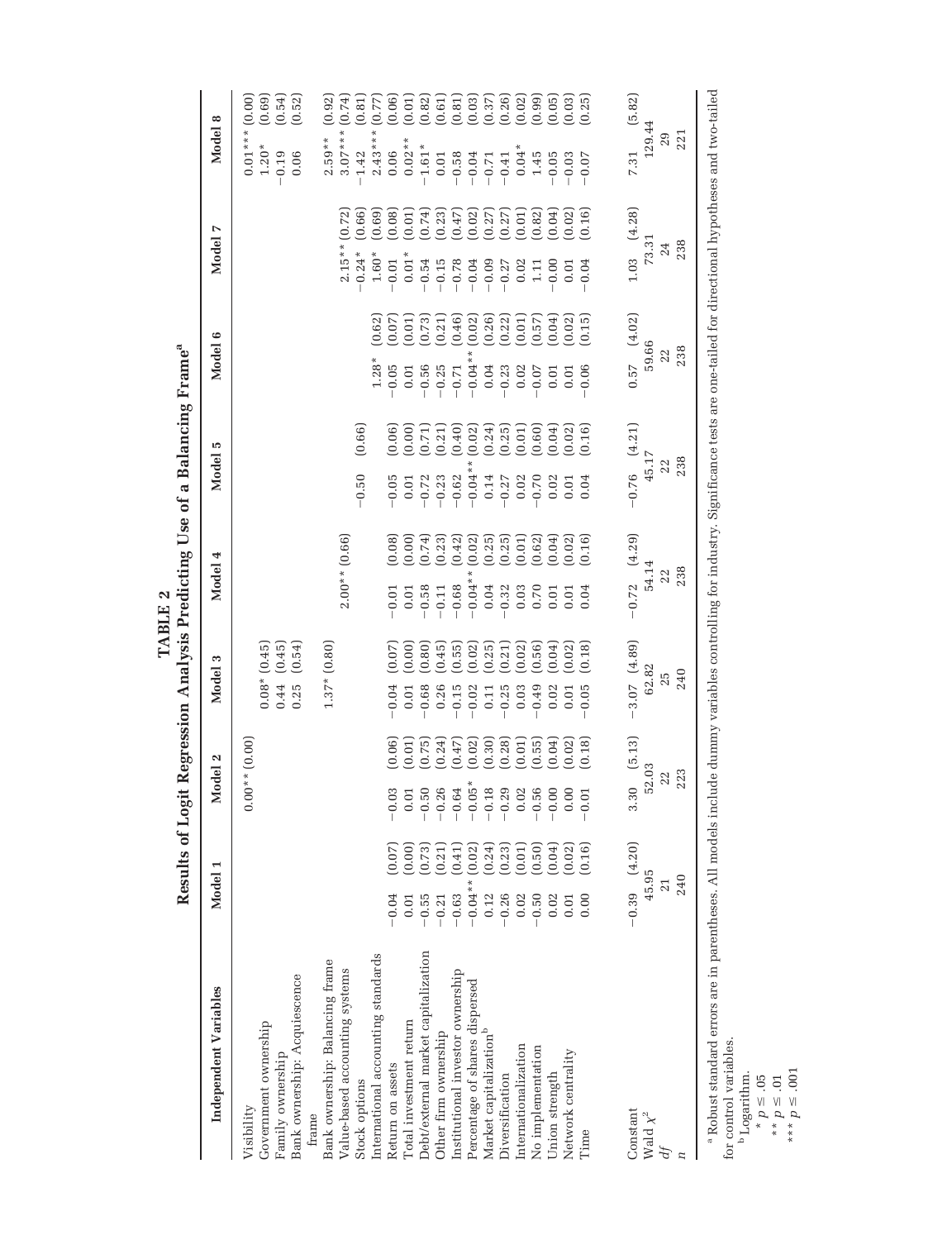| Independent Variables                                                                                                                                                                                                                            | Model 1                                                                                                                                                                                           | Model 2                                                                                                                                                                                                       | Model 3                                                                                                                                                                                             | Model 4                                                                                                                                                                                 | Model 5                                                                                                                                                                                               | Model 6                                                                                                                                                                                                                 | Model 7                                                                                                                                                                                                               | Model 8                                                                                                  |                                                                                                  |
|--------------------------------------------------------------------------------------------------------------------------------------------------------------------------------------------------------------------------------------------------|---------------------------------------------------------------------------------------------------------------------------------------------------------------------------------------------------|---------------------------------------------------------------------------------------------------------------------------------------------------------------------------------------------------------------|-----------------------------------------------------------------------------------------------------------------------------------------------------------------------------------------------------|-----------------------------------------------------------------------------------------------------------------------------------------------------------------------------------------|-------------------------------------------------------------------------------------------------------------------------------------------------------------------------------------------------------|-------------------------------------------------------------------------------------------------------------------------------------------------------------------------------------------------------------------------|-----------------------------------------------------------------------------------------------------------------------------------------------------------------------------------------------------------------------|----------------------------------------------------------------------------------------------------------|--------------------------------------------------------------------------------------------------|
| Bank ownership: Acquiescence<br>Government ownership<br>Family ownership<br>Visibility                                                                                                                                                           |                                                                                                                                                                                                   | $0.00**$ (0.00)                                                                                                                                                                                               | $0.08*(0.45)$<br>(0.45)<br>(0.54)<br>0.44<br>0.25                                                                                                                                                   |                                                                                                                                                                                         |                                                                                                                                                                                                       |                                                                                                                                                                                                                         |                                                                                                                                                                                                                       | $0.01***$<br>$1.20*$<br>$-0.19$<br>0.06                                                                  | (0.00)<br>(0.69)<br>(0.54)<br>(0.52)                                                             |
| International accounting standards<br>Bank ownership: Balancing frame<br>Value-based accounting systems<br>Stock options<br>frame                                                                                                                |                                                                                                                                                                                                   |                                                                                                                                                                                                               | $1.37*(0.80)$                                                                                                                                                                                       | $2.00**$ (0.66)                                                                                                                                                                         | (0.66)<br>$-0.50$                                                                                                                                                                                     | (0.62)<br>$1.28*$                                                                                                                                                                                                       | $2.15**$ (0.72)<br>(0.66)<br>$-0.24*$<br>$1.60\,^*$                                                                                                                                                                   | $3.07***$ (0.74)<br>$2.43**$<br>$2.59**$<br>$-1.42$                                                      | (0.92)<br>$\left( 0.81\right)$<br>(0.77)                                                         |
| Debt/external market capitalization<br>Total investment return<br>Return on assets                                                                                                                                                               | (0.07)<br>(0.00)<br>(0.73)<br>$-0.04$<br>$-0.55$<br>0.01                                                                                                                                          | (0.06)<br>(0.01)<br>(0.75)<br>03<br>.50<br>$0.01\,$<br>$\overline{0}$                                                                                                                                         | (0.00)<br>(0.07)<br>(0.80)<br>$-0.04$<br>$-0.68$<br>$0.01\,$                                                                                                                                        | $\begin{array}{c} (0.08) \\ (0.00) \\ (0.73) \\ (0.23) \end{array}$<br>$0.01$<br>$-0.58$<br>0.01                                                                                        | (0.06)<br>(0.00)<br>(0.71)<br>$-0.05$<br>$-0.72$<br>0.01                                                                                                                                              | $\left( 0.01\right)$<br>(0.73)<br>(0.07)<br>$-0.05$<br>$-0.56$<br>0.01                                                                                                                                                  | $(0.69)$<br>$(0.08)$<br>(0.01)<br>(0.74)<br>$0.01*$<br>$-0.01$<br>$-0.54$                                                                                                                                             | $0.02**$<br>$-1.61*$<br>$0.06$                                                                           | $(0.06)$<br>$(0.01)$<br>$(0.82)$<br>$(0.61)$                                                     |
| Institutional investor ownership<br>Percentage of shares dispersed<br>Market capitalization <sup>b</sup><br>Other firm ownership<br>Internationalization<br>No implementation<br>Network centrality<br>Union strength<br>Diversification<br>Time | (0.50)<br>(0.21)<br>(0.02)<br>(0.24)<br>(0.23)<br>(0.01)<br>(0.02)<br>(0.16)<br>(0.41)<br>(0.04)<br>$-0.04**$<br>$-0.63$<br>0.12<br>$-0.26$<br>0.02<br>$-0.50$<br>0.00<br>0.02<br>$-0.21$<br>0.01 | (0.30)<br>(0.47)<br>(0.02)<br>(0.28)<br>(0.01)<br>(0.04)<br>(0.02)<br>(0.18)<br>(0.24)<br>(0.55)<br>$-0.05*$<br>$-0.26$<br>$-0.64$<br>$-0.18$<br>$-0.29$<br>$-0.56$<br>0.02<br>$0.00\,$<br>$-0.00$<br>$-0.01$ | (0.02)<br>(0.25)<br>(0.02)<br>(0.02)<br>(0.18)<br>(0.45)<br>(0.55)<br>(0.21)<br>(0.56)<br>(0.04)<br>$-0.49$<br>0.26<br>$-0.05$<br>$-0.15$<br>$-0.02$<br>$-0.25$<br>0.03<br>0.02<br>$0.11\,$<br>0.01 | (0.25)<br>$(0.42)$<br>$(0.02)$<br>(0.25)<br>(0.01)<br>(0.62)<br>(0.04)<br>(0.02)<br>(0.16)<br>$-0.04*$<br>$-0.11$<br>$-0.68$<br>0.04<br>$-0.32$<br>0.03<br>0.70<br>0.04<br>0.01<br>0.01 | (0.40)<br>(0.02)<br>(0.24)<br>$(0.25)$<br>$(0.01)$<br>(0.60)<br>(0.04)<br>(0.02)<br>(0.16)<br>(0.21)<br>$-0.04**$<br>0.14<br>$-0.23$<br>$-0.62$<br>$-0.27$<br>0.02<br>$-0.70$<br>0.02<br>0.04<br>0.01 | (0.46)<br>$(0.02)$<br>$(0.26)$<br>$(0.22)$<br>$\left(0.57\right)$<br>$(0.04)$<br>$(0.02)$<br>(0.15)<br>(0.21)<br>(0.01)<br>$-0.04**$<br>$-0.25$<br>$-0.71$<br>0.04<br>$-0.23$<br>0.02<br>$0.07$<br>0.06<br>0.01<br>0.01 | $(0.27)$<br>$(0.27)$<br>$(0.01)$<br>$(0.23)$<br>$(0.47)$<br>$(0.02)$<br>(0.82)<br>$(0.04)$<br>$(0.02)$<br>(0.16)<br>$-0.15$<br>$-0.78$<br>$-0.04$<br>$-0.09$<br>$-0.27$<br>$-0.04$<br>0.02<br>$-0.00$<br>0.01<br>1.11 | $0.04*$<br>$-0.58$<br>$-0.04$<br>1.45<br>$-0.05$<br>$0.01\,$<br>$-0.71$<br>$-0.41$<br>$-0.03$<br>$-0.07$ | $(0.81)$<br>$(0.03)$<br>$(0.37)$<br>$(0.26)$<br>$(0.02)$<br>(0.99)<br>(0.05)<br>(0.03)<br>(0.25) |
| Constant<br>Wald $\chi^2$                                                                                                                                                                                                                        | $-0.39$ $(4.20)$<br>45.95<br>240<br>$\overline{21}$                                                                                                                                               | (5.13)<br>52.03<br>223<br>22<br>3.30                                                                                                                                                                          | $-3.07(4.89)$<br>62.82<br>240<br>25                                                                                                                                                                 | (4.29)<br>54.14<br>238<br>22<br>$-0.72$                                                                                                                                                 | (4.21)<br>45.17<br>238<br>22<br>$-0.76$                                                                                                                                                               | (4.02)<br>59.66<br>238<br>22<br>0.57                                                                                                                                                                                    | (4.28)<br>73.31<br>238<br>24<br>1.03                                                                                                                                                                                  | 129.44<br>221<br>29<br>7.31                                                                              | (5.82)                                                                                           |

TABLE 2<br>Results of Logit Regression Analysis Predicting Use of a Balancing Frame<sup>a</sup> **Results of Logit Regression Analysis Predicting Use of a Balancing Framea TABLE 2**

 Robust standard errors are in parentheses. All models include dummy variables controlling for industry. Significance tests are one-tailed for directional hypotheses and two-tailed for control variables.

b Logarithm.

\* *p* .05 \*\* *p* .01

 $p \geq 0.01$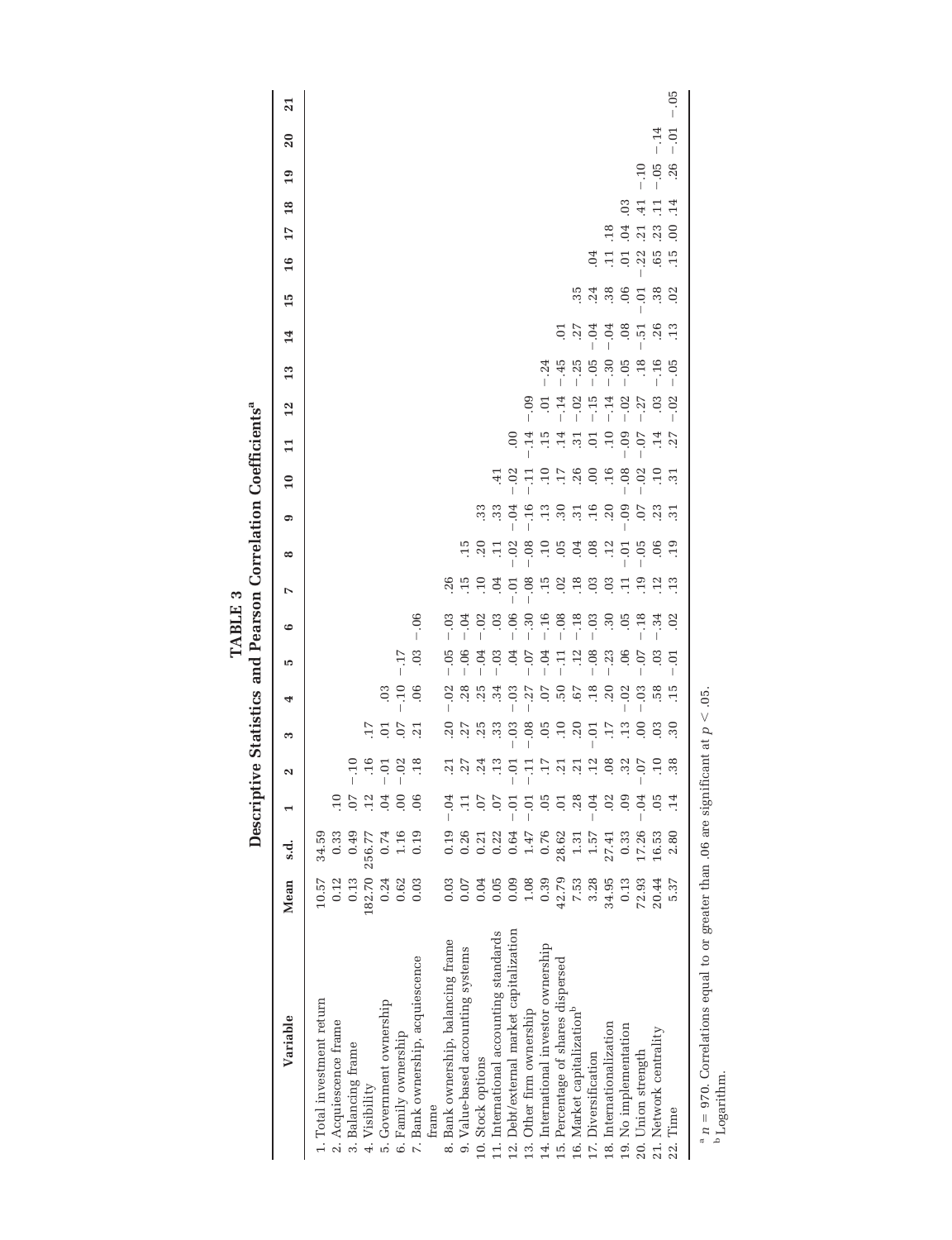|                                         |               | Descri |                          | iptive Statistics and Pearson Correlation Coefficients <sup>ª</sup> |                 |                  |                 |            |                 |                  |                 |                 |                 |         |         |                 |                |                                  |                 |        |         |                 |
|-----------------------------------------|---------------|--------|--------------------------|---------------------------------------------------------------------|-----------------|------------------|-----------------|------------|-----------------|------------------|-----------------|-----------------|-----------------|---------|---------|-----------------|----------------|----------------------------------|-----------------|--------|---------|-----------------|
| Variable                                | Mean          | s.d.   | $\overline{\phantom{0}}$ | 2                                                                   | S               | 4                | LO <sub>1</sub> | ه          | Z               | $\infty$         | 0               | $\overline{10}$ | $\Xi$           | 12      | 13      | $\overline{14}$ | 15             | 17<br>16                         | 18              | ශ<br>1 | 20      | $\overline{21}$ |
| 1. Total investment return              | 10.57         | 34.59  |                          |                                                                     |                 |                  |                 |            |                 |                  |                 |                 |                 |         |         |                 |                |                                  |                 |        |         |                 |
| 2. Acquiescence frame                   | 0.12          | 0.33   |                          |                                                                     |                 |                  |                 |            |                 |                  |                 |                 |                 |         |         |                 |                |                                  |                 |        |         |                 |
| 3. Balancing frame                      | 0.13          | 0.49   |                          | $-0.10$                                                             |                 |                  |                 |            |                 |                  |                 |                 |                 |         |         |                 |                |                                  |                 |        |         |                 |
| 4. Visibility                           | 182.70 256.77 |        | N                        | .16                                                                 | $\overline{17}$ |                  |                 |            |                 |                  |                 |                 |                 |         |         |                 |                |                                  |                 |        |         |                 |
| 5. Government ownership                 | 0.24          | 0.74   |                          | $-0.01$                                                             | $\overline{0}$  | 03               |                 |            |                 |                  |                 |                 |                 |         |         |                 |                |                                  |                 |        |         |                 |
| 6. Family ownership                     | 0.62          | 1.16   |                          | .02<br>$\overline{1}$                                               | 0               | $-0.1 -$         | $-17$           |            |                 |                  |                 |                 |                 |         |         |                 |                |                                  |                 |        |         |                 |
| 7. Bank ownership, acquiescence         | 0.03          | 0.19   | 06                       | $\overline{.18}$                                                    | $\overline{21}$ | 06               | 03              | $-0.06$    |                 |                  |                 |                 |                 |         |         |                 |                |                                  |                 |        |         |                 |
| frame                                   |               |        |                          |                                                                     |                 |                  |                 |            |                 |                  |                 |                 |                 |         |         |                 |                |                                  |                 |        |         |                 |
| 8. Bank ownership, balancing frame      | 0.03          | 0.19   | $\frac{1}{\sqrt{2}}$     | ź.                                                                  | .20             | $-0.02$          | $-0.5$          | $-0.3$     | .26             |                  |                 |                 |                 |         |         |                 |                |                                  |                 |        |         |                 |
| 9. Value-based accounting systems       | 0.07          | 0.26   |                          | 27                                                                  | .27             | .28              | $-0.6$          | $-0.1$     | .15             | -15              |                 |                 |                 |         |         |                 |                |                                  |                 |        |         |                 |
| 10. Stock options                       | 0.04          | 0.21   |                          | 24                                                                  | .25             | .25              | $-0.4$          | $-0.2$     | $\overline{10}$ | $\ddot{5}$       | 33              |                 |                 |         |         |                 |                |                                  |                 |        |         |                 |
| 11. International accounting standards  | 0.05          | 0.22   |                          | $\overline{.13}$                                                    | 33              | .34              | $-0.3$          | co.        | .04             | H                | 33              | 41              |                 |         |         |                 |                |                                  |                 |        |         |                 |
| 12. Debt/external market capitalization | 0.09          | 0.64   | °.<br>⊃                  | $-0.01$                                                             | $-0.3$          | $-0.3$           | Ċ.              | $-0.06$    | FÖ.             | $-02$            | $-0.04$         | $-0.02$         | 00              |         |         |                 |                |                                  |                 |        |         |                 |
| 13. Other firm ownership                | 1.08          | 1.47   | $\frac{1}{\sqrt{2}}$     |                                                                     | $-0.08$         | $-27$            | $-0.07$         | $-30$      | $-0.08$         | $-0.8$           | $-0.16$         |                 | $-.14$          | $-0.9$  |         |                 |                |                                  |                 |        |         |                 |
| 14. International investor ownership    | 0.39          | 0.76   |                          | $\overline{17}$                                                     | 0 <sub>5</sub>  | $\overline{0}$ . | $-0.04$         | $-16$      | 15              | $\overline{10}$  | $\frac{3}{2}$   | $\overline{10}$ | $\frac{5}{1}$   | ō.      | $-.24$  |                 |                |                                  |                 |        |         |                 |
| 15. Percentage of shares dispersed      | 42.79         | 28.62  |                          | ឆ្ន                                                                 | $\ddot{ }$      | $\ddot{5}0$      | 두.<br>-         | $-0.8$     | .02             | -90              | 30              | H.              | $\ddot{c}$      | $-14$   | $-45$   | C.              |                |                                  |                 |        |         |                 |
| 16. Market capitalization <sup>b</sup>  | 7.53          | 1.31   |                          | 21                                                                  | .20             | .67              | $\frac{12}{1}$  | $-18$      | .18             | 54               | $\ddot{3}$      | 26              | $\overline{31}$ | $-0.02$ | $-0.25$ | 27              | 55.            |                                  |                 |        |         |                 |
| 17. Diversification                     | 3.28          | 1.57   | $\overline{C}$           |                                                                     | $\overline{0}$  | .18              | $-0.08$         | $-0.3$     | 03              | .08              | .16             | 00              | .O1             | $-15$   | $-0.5$  | $-0.1$          | .24            | .04                              |                 |        |         |                 |
| 18. Internationalization                | 34.95         | 27.41  |                          | 08                                                                  | $\cdot$ 17      | .20              | $-.23$          | $\ddot{3}$ | 03              | .12              | 20              | .16             | a.              | $-.14$  | $-0.30$ | $-0.4$          | 38             | .18<br>$\overline{11}$           |                 |        |         |                 |
| 19. No implementation                   | 0.13          | 0.33   |                          | .32                                                                 | .13             | $-.02$           | S.              | Ğ.         | $\overline{11}$ | .<br>-           | eo.             | $-0.8$          | $-0.9$          | $-.02$  | $-0.05$ | 08              | .06            | 0 <sub>4</sub><br>$\overline{0}$ | $\overline{0}$  |        |         |                 |
| 20. Union strength                      | 72.93         | 17.26  | $\frac{1}{1}$            | $\overline{0}$ .                                                    | 00              | $-0.3$           | $-0.7$          | $-18$      | .19             | $-0.05$          | 07              | $-0.02$         | $-0.07$         | $-.27$  | .18     | 51              | $\overline{0}$ | .21<br>.22                       | $\ddot{=}$      | $-.10$ |         |                 |
| 21. Network centrality                  | 20.44         | 16.53  |                          | $\overline{10}$                                                     | 03              | .58              | co.             | $-.34$     | .12             | .06              | 23              | $\overline{10}$ | .14             | 03      | $-.16$  | .26             | 38             | .23<br>.65                       | $\Xi$           | $-0.5$ | $-.14$  |                 |
| 22. Time                                | 5.37          | 2.80   | 4                        | 38                                                                  | $\cdot$ 30      | $\frac{15}{2}$   | ā               | 02         | $\frac{3}{2}$   | $\overline{.19}$ | $\overline{31}$ | $\ddot{3}$      | 27              | 02      | $-0.5$  | $\ddot{13}$     | $\frac{2}{2}$  | $\overline{0}$<br>15             | $\overline{14}$ | 26     | $-0.01$ | $-0.5$          |
|                                         |               |        |                          |                                                                     |                 |                  |                 |            |                 |                  |                 |                 |                 |         |         |                 |                |                                  |                 |        |         |                 |

 $arctan$  $\mathcal{C}$ بند.<br>با  $\mathcal{L}$ TABLE 3<br>d Popron **TABLE 3**  $c_{\rm{f}}$ 

 $a$   $n = 970$ . Correlations equal to or greater than .06 are significant at  $p <$  $\sim$ 

b Logarithm.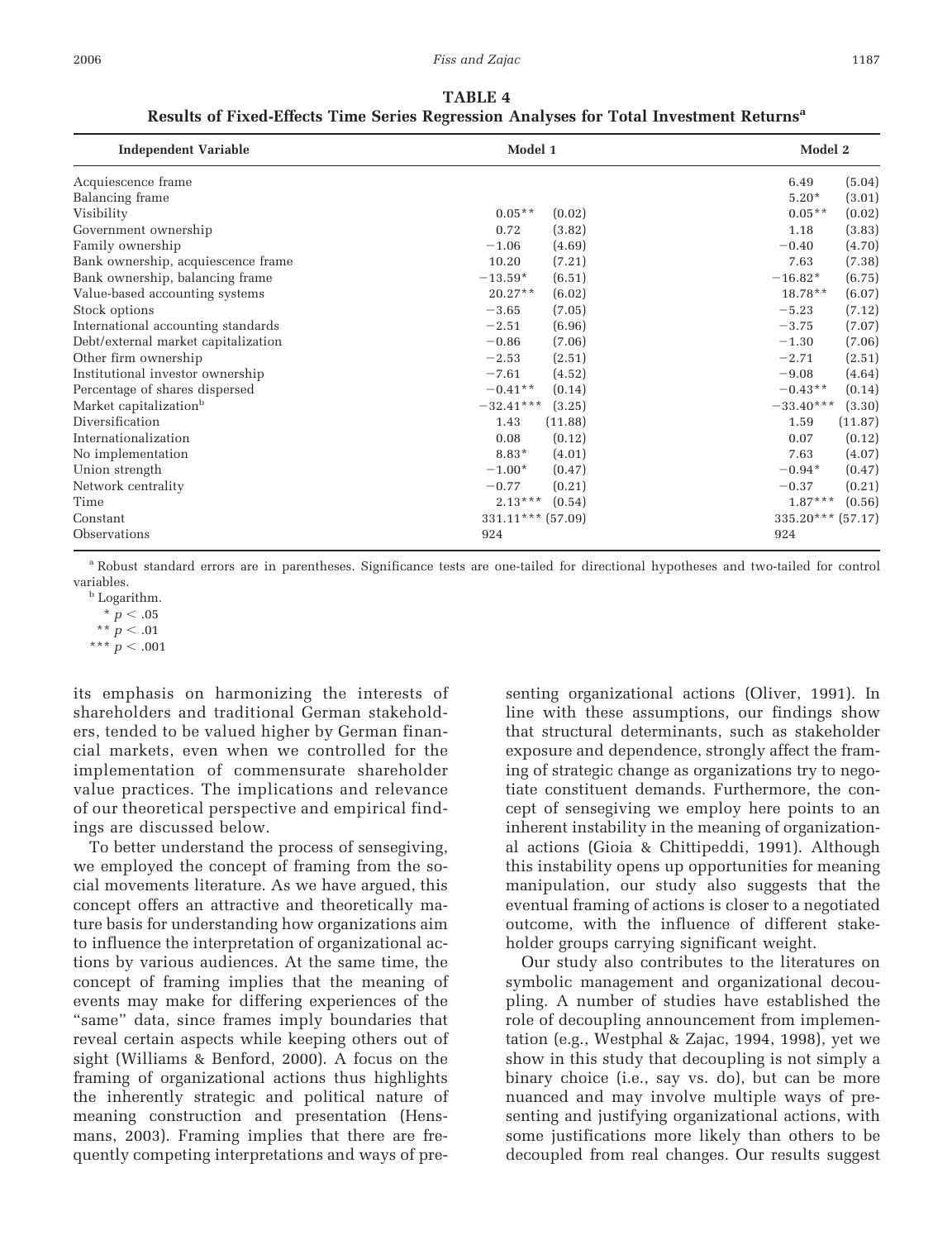| <b>Independent Variable</b>         | Model 1               | Model 2               |
|-------------------------------------|-----------------------|-----------------------|
| Acquiescence frame                  |                       | (5.04)<br>6.49        |
| Balancing frame                     |                       | $5.20*$<br>(3.01)     |
| Visibility                          | $0.05**$<br>(0.02)    | $0.05**$<br>(0.02)    |
| Government ownership                | 0.72<br>(3.82)        | (3.83)<br>1.18        |
| Family ownership                    | $-1.06$<br>(4.69)     | $-0.40$<br>(4.70)     |
| Bank ownership, acquiescence frame  | 10.20<br>(7.21)       | (7.38)<br>7.63        |
| Bank ownership, balancing frame     | $-13.59*$<br>(6.51)   | $-16.82*$<br>(6.75)   |
| Value-based accounting systems      | $20.27**$<br>(6.02)   | $18.78**$<br>(6.07)   |
| Stock options                       | (7.05)<br>$-3.65$     | (7.12)<br>$-5.23$     |
| International accounting standards  | (6.96)<br>$-2.51$     | (7.07)<br>$-3.75$     |
| Debt/external market capitalization | $-0.86$<br>(7.06)     | (7.06)<br>$-1.30$     |
| Other firm ownership                | $-2.53$<br>(2.51)     | $-2.71$<br>(2.51)     |
| Institutional investor ownership    | $-7.61$<br>(4.52)     | $-9.08$<br>(4.64)     |
| Percentage of shares dispersed      | $-0.41**$<br>(0.14)   | $-0.43**$<br>(0.14)   |
| Market capitalization <sup>b</sup>  | $-32.41***$<br>(3.25) | $-33.40***$<br>(3.30) |
| Diversification                     | (11.88)<br>1.43       | (11.87)<br>1.59       |
| Internationalization                | 0.08<br>(0.12)        | (0.12)<br>0.07        |
| No implementation                   | $8.83*$<br>(4.01)     | (4.07)<br>7.63        |
| Union strength                      | $-1.00*$<br>(0.47)    | $-0.94*$<br>(0.47)    |
| Network centrality                  | $-0.77$<br>(0.21)     | $-0.37$<br>(0.21)     |
| Time                                | $2.13***$<br>(0.54)   | $1.87***$<br>(0.56)   |
| Constant                            | $331.11***$ (57.09)   | $335.20***$ (57.17)   |
| Observations                        | 924                   | 924                   |

**TABLE 4 Results of Fixed-Effects Time Series Regression Analyses for Total Investment Returnsa**

<sup>a</sup> Robust standard errors are in parentheses. Significance tests are one-tailed for directional hypotheses and two-tailed for control variables.

 $*$  \* *p*  $< .01$  $*** p < .001$ 

its emphasis on harmonizing the interests of shareholders and traditional German stakeholders, tended to be valued higher by German financial markets, even when we controlled for the implementation of commensurate shareholder value practices. The implications and relevance of our theoretical perspective and empirical findings are discussed below.

To better understand the process of sensegiving, we employed the concept of framing from the social movements literature. As we have argued, this concept offers an attractive and theoretically mature basis for understanding how organizations aim to influence the interpretation of organizational actions by various audiences. At the same time, the concept of framing implies that the meaning of events may make for differing experiences of the "same" data, since frames imply boundaries that reveal certain aspects while keeping others out of sight (Williams & Benford, 2000). A focus on the framing of organizational actions thus highlights the inherently strategic and political nature of meaning construction and presentation (Hensmans, 2003). Framing implies that there are frequently competing interpretations and ways of presenting organizational actions (Oliver, 1991). In line with these assumptions, our findings show that structural determinants, such as stakeholder exposure and dependence, strongly affect the framing of strategic change as organizations try to negotiate constituent demands. Furthermore, the concept of sensegiving we employ here points to an inherent instability in the meaning of organizational actions (Gioia & Chittipeddi, 1991). Although this instability opens up opportunities for meaning manipulation, our study also suggests that the eventual framing of actions is closer to a negotiated outcome, with the influence of different stakeholder groups carrying significant weight.

Our study also contributes to the literatures on symbolic management and organizational decoupling. A number of studies have established the role of decoupling announcement from implementation (e.g., Westphal & Zajac, 1994, 1998), yet we show in this study that decoupling is not simply a binary choice (i.e., say vs. do), but can be more nuanced and may involve multiple ways of presenting and justifying organizational actions, with some justifications more likely than others to be decoupled from real changes. Our results suggest

<sup>&</sup>lt;sup>b</sup> Logarithm.

 $*$   $p < .05$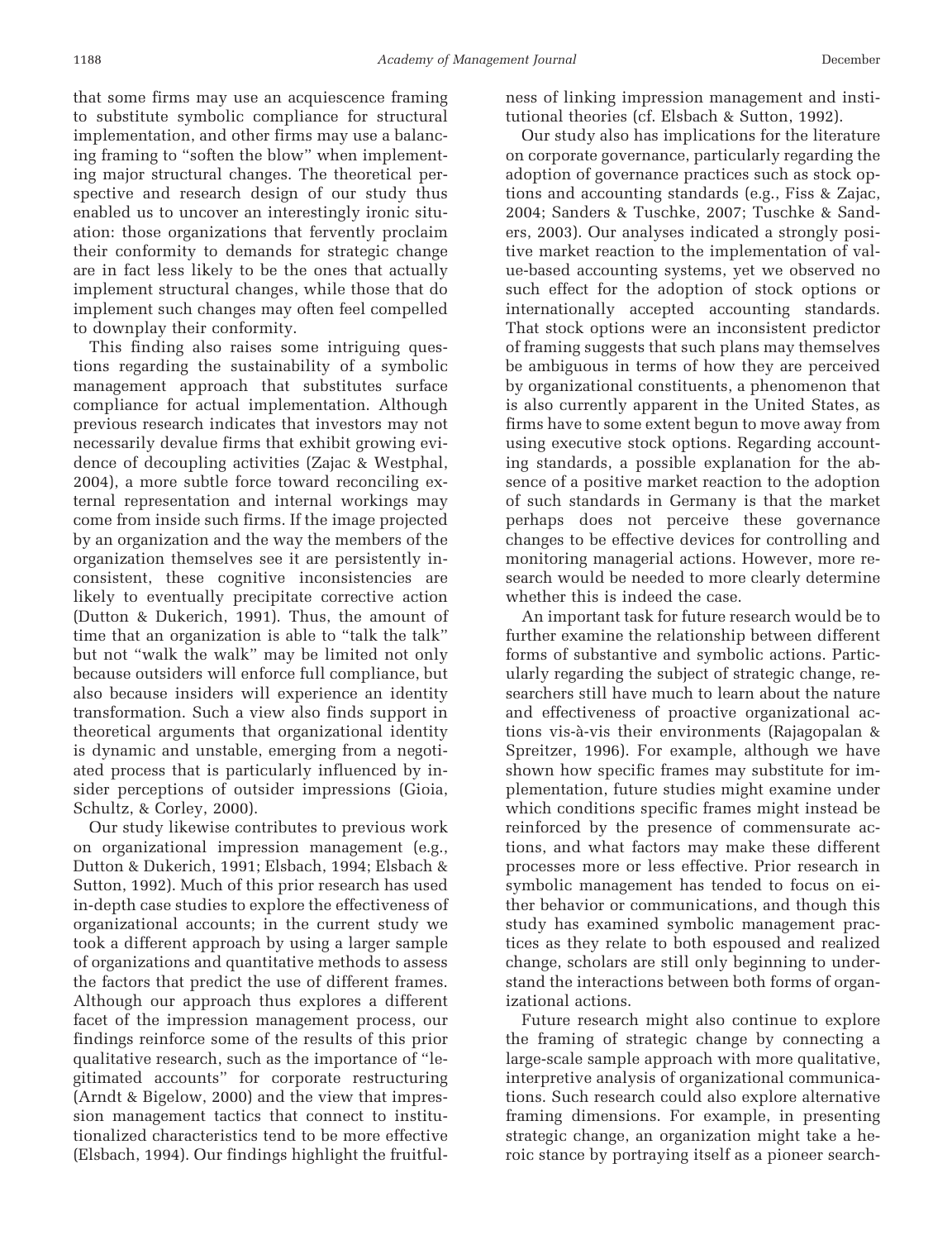that some firms may use an acquiescence framing to substitute symbolic compliance for structural implementation, and other firms may use a balancing framing to "soften the blow" when implementing major structural changes. The theoretical perspective and research design of our study thus enabled us to uncover an interestingly ironic situation: those organizations that fervently proclaim their conformity to demands for strategic change are in fact less likely to be the ones that actually implement structural changes, while those that do implement such changes may often feel compelled to downplay their conformity.

This finding also raises some intriguing questions regarding the sustainability of a symbolic management approach that substitutes surface compliance for actual implementation. Although previous research indicates that investors may not necessarily devalue firms that exhibit growing evidence of decoupling activities (Zajac & Westphal, 2004), a more subtle force toward reconciling external representation and internal workings may come from inside such firms. If the image projected by an organization and the way the members of the organization themselves see it are persistently inconsistent, these cognitive inconsistencies are likely to eventually precipitate corrective action (Dutton & Dukerich, 1991). Thus, the amount of time that an organization is able to "talk the talk" but not "walk the walk" may be limited not only because outsiders will enforce full compliance, but also because insiders will experience an identity transformation. Such a view also finds support in theoretical arguments that organizational identity is dynamic and unstable, emerging from a negotiated process that is particularly influenced by insider perceptions of outsider impressions (Gioia, Schultz, & Corley, 2000).

Our study likewise contributes to previous work on organizational impression management (e.g., Dutton & Dukerich, 1991; Elsbach, 1994; Elsbach & Sutton, 1992). Much of this prior research has used in-depth case studies to explore the effectiveness of organizational accounts; in the current study we took a different approach by using a larger sample of organizations and quantitative methods to assess the factors that predict the use of different frames. Although our approach thus explores a different facet of the impression management process, our findings reinforce some of the results of this prior qualitative research, such as the importance of "legitimated accounts" for corporate restructuring (Arndt & Bigelow, 2000) and the view that impression management tactics that connect to institutionalized characteristics tend to be more effective (Elsbach, 1994). Our findings highlight the fruitfulness of linking impression management and institutional theories (cf. Elsbach & Sutton, 1992).

Our study also has implications for the literature on corporate governance, particularly regarding the adoption of governance practices such as stock options and accounting standards (e.g., Fiss & Zajac, 2004; Sanders & Tuschke, 2007; Tuschke & Sanders, 2003). Our analyses indicated a strongly positive market reaction to the implementation of value-based accounting systems, yet we observed no such effect for the adoption of stock options or internationally accepted accounting standards. That stock options were an inconsistent predictor of framing suggests that such plans may themselves be ambiguous in terms of how they are perceived by organizational constituents, a phenomenon that is also currently apparent in the United States, as firms have to some extent begun to move away from using executive stock options. Regarding accounting standards, a possible explanation for the absence of a positive market reaction to the adoption of such standards in Germany is that the market perhaps does not perceive these governance changes to be effective devices for controlling and monitoring managerial actions. However, more research would be needed to more clearly determine whether this is indeed the case.

An important task for future research would be to further examine the relationship between different forms of substantive and symbolic actions. Particularly regarding the subject of strategic change, researchers still have much to learn about the nature and effectiveness of proactive organizational actions vis-à-vis their environments (Rajagopalan & Spreitzer, 1996). For example, although we have shown how specific frames may substitute for implementation, future studies might examine under which conditions specific frames might instead be reinforced by the presence of commensurate actions, and what factors may make these different processes more or less effective. Prior research in symbolic management has tended to focus on either behavior or communications, and though this study has examined symbolic management practices as they relate to both espoused and realized change, scholars are still only beginning to understand the interactions between both forms of organizational actions.

Future research might also continue to explore the framing of strategic change by connecting a large-scale sample approach with more qualitative, interpretive analysis of organizational communications. Such research could also explore alternative framing dimensions. For example, in presenting strategic change, an organization might take a heroic stance by portraying itself as a pioneer search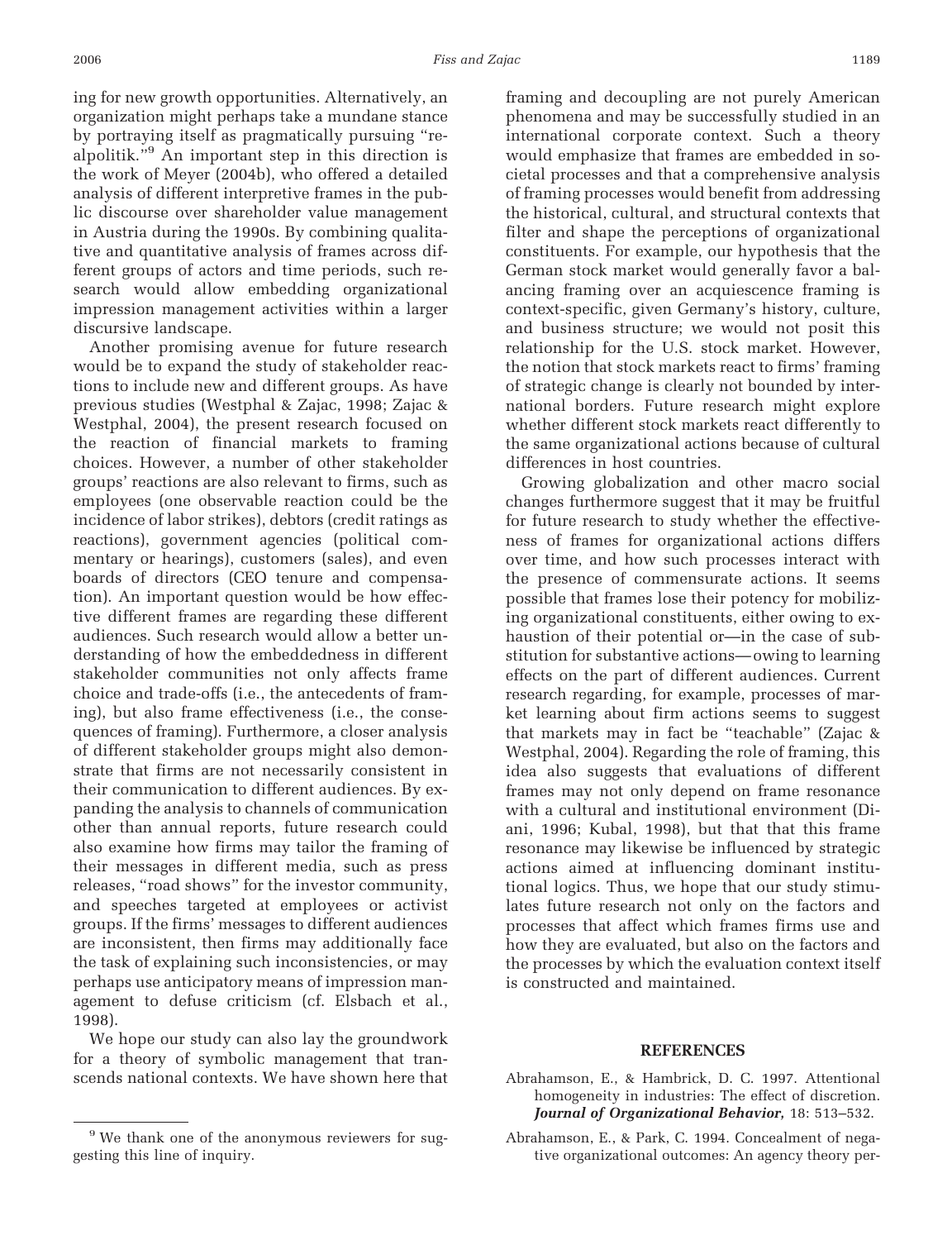ing for new growth opportunities. Alternatively, an organization might perhaps take a mundane stance by portraying itself as pragmatically pursuing "realpolitik."9 An important step in this direction is the work of Meyer (2004b), who offered a detailed analysis of different interpretive frames in the public discourse over shareholder value management in Austria during the 1990s. By combining qualitative and quantitative analysis of frames across different groups of actors and time periods, such research would allow embedding organizational impression management activities within a larger discursive landscape.

Another promising avenue for future research would be to expand the study of stakeholder reactions to include new and different groups. As have previous studies (Westphal & Zajac, 1998; Zajac & Westphal, 2004), the present research focused on the reaction of financial markets to framing choices. However, a number of other stakeholder groups' reactions are also relevant to firms, such as employees (one observable reaction could be the incidence of labor strikes), debtors (credit ratings as reactions), government agencies (political commentary or hearings), customers (sales), and even boards of directors (CEO tenure and compensation). An important question would be how effective different frames are regarding these different audiences. Such research would allow a better understanding of how the embeddedness in different stakeholder communities not only affects frame choice and trade-offs (i.e., the antecedents of framing), but also frame effectiveness (i.e., the consequences of framing). Furthermore, a closer analysis of different stakeholder groups might also demonstrate that firms are not necessarily consistent in their communication to different audiences. By expanding the analysis to channels of communication other than annual reports, future research could also examine how firms may tailor the framing of their messages in different media, such as press releases, "road shows" for the investor community, and speeches targeted at employees or activist groups. If the firms' messages to different audiences are inconsistent, then firms may additionally face the task of explaining such inconsistencies, or may perhaps use anticipatory means of impression management to defuse criticism (cf. Elsbach et al., 1998).

We hope our study can also lay the groundwork for a theory of symbolic management that transcends national contexts. We have shown here that framing and decoupling are not purely American phenomena and may be successfully studied in an international corporate context. Such a theory would emphasize that frames are embedded in societal processes and that a comprehensive analysis of framing processes would benefit from addressing the historical, cultural, and structural contexts that filter and shape the perceptions of organizational constituents. For example, our hypothesis that the German stock market would generally favor a balancing framing over an acquiescence framing is context-specific, given Germany's history, culture, and business structure; we would not posit this relationship for the U.S. stock market. However, the notion that stock markets react to firms' framing of strategic change is clearly not bounded by international borders. Future research might explore whether different stock markets react differently to the same organizational actions because of cultural differences in host countries.

Growing globalization and other macro social changes furthermore suggest that it may be fruitful for future research to study whether the effectiveness of frames for organizational actions differs over time, and how such processes interact with the presence of commensurate actions. It seems possible that frames lose their potency for mobilizing organizational constituents, either owing to exhaustion of their potential or—in the case of substitution for substantive actions— owing to learning effects on the part of different audiences. Current research regarding, for example, processes of market learning about firm actions seems to suggest that markets may in fact be "teachable" (Zajac & Westphal, 2004). Regarding the role of framing, this idea also suggests that evaluations of different frames may not only depend on frame resonance with a cultural and institutional environment (Diani, 1996; Kubal, 1998), but that that this frame resonance may likewise be influenced by strategic actions aimed at influencing dominant institutional logics. Thus, we hope that our study stimulates future research not only on the factors and processes that affect which frames firms use and how they are evaluated, but also on the factors and the processes by which the evaluation context itself is constructed and maintained.

#### **REFERENCES**

- Abrahamson, E., & Hambrick, D. C. 1997. Attentional homogeneity in industries: The effect of discretion. *Journal of Organizational Behavior,* 18: 513–532.
- Abrahamson, E., & Park, C. 1994. Concealment of negative organizational outcomes: An agency theory per-

<sup>&</sup>lt;sup>9</sup> We thank one of the anonymous reviewers for suggesting this line of inquiry.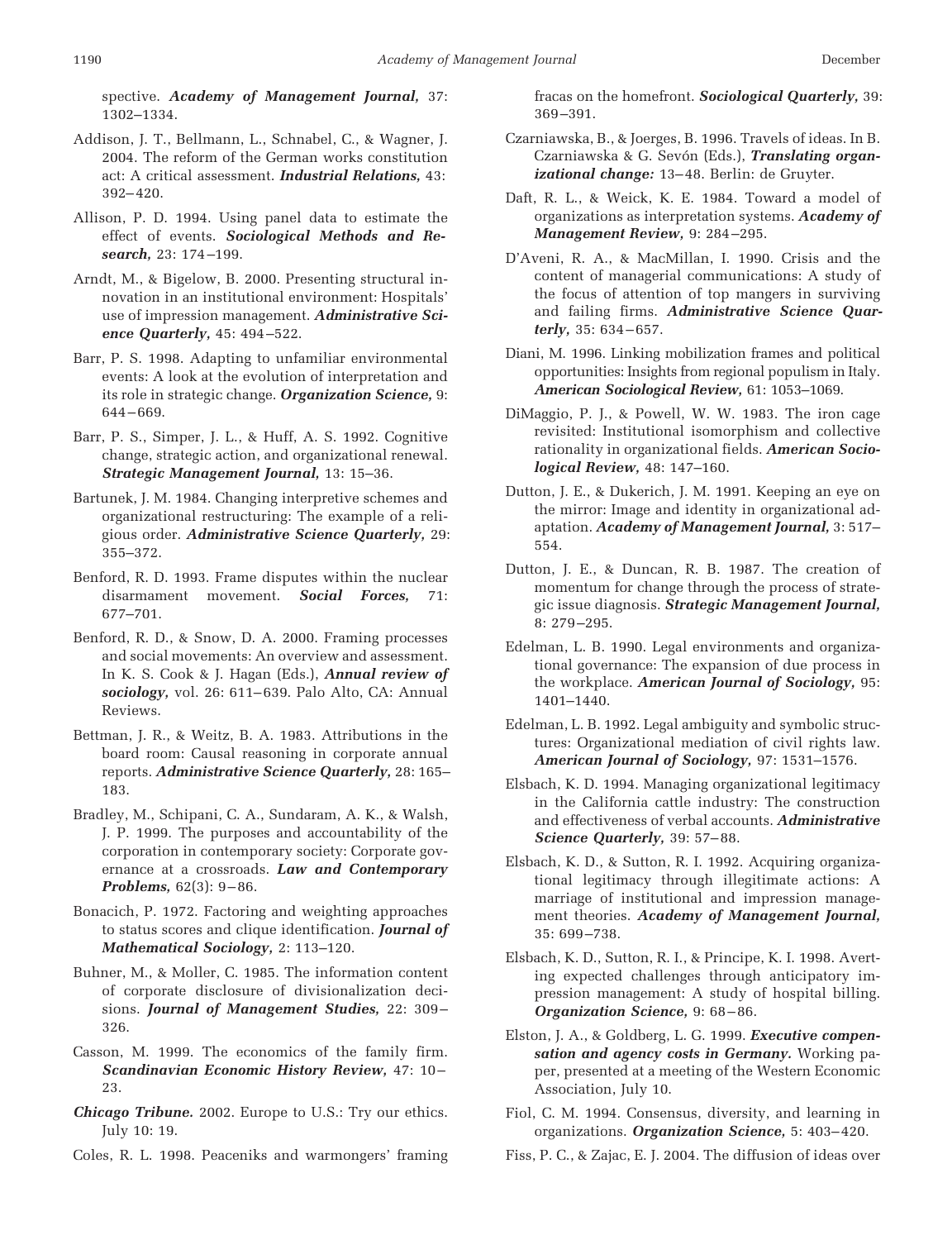spective. *Academy of Management Journal,* 37: 1302–1334.

- Addison, J. T., Bellmann, L., Schnabel, C., & Wagner, J. 2004. The reform of the German works constitution act: A critical assessment. *Industrial Relations,* 43: 392– 420.
- Allison, P. D. 1994. Using panel data to estimate the effect of events. *Sociological Methods and Research,* 23: 174 –199.
- Arndt, M., & Bigelow, B. 2000. Presenting structural innovation in an institutional environment: Hospitals' use of impression management. *Administrative Science Quarterly,* 45: 494 –522.
- Barr, P. S. 1998. Adapting to unfamiliar environmental events: A look at the evolution of interpretation and its role in strategic change. *Organization Science,* 9: 644 – 669.
- Barr, P. S., Simper, J. L., & Huff, A. S. 1992. Cognitive change, strategic action, and organizational renewal. *Strategic Management Journal,* 13: 15–36.
- Bartunek, J. M. 1984. Changing interpretive schemes and organizational restructuring: The example of a religious order. *Administrative Science Quarterly,* 29: 355–372.
- Benford, R. D. 1993. Frame disputes within the nuclear disarmament movement. *Social Forces,* 71: 677–701.
- Benford, R. D., & Snow, D. A. 2000. Framing processes and social movements: An overview and assessment. In K. S. Cook & J. Hagan (Eds.), *Annual review of sociology,* vol. 26: 611– 639. Palo Alto, CA: Annual Reviews.
- Bettman, J. R., & Weitz, B. A. 1983. Attributions in the board room: Causal reasoning in corporate annual reports. *Administrative Science Quarterly,* 28: 165– 183.
- Bradley, M., Schipani, C. A., Sundaram, A. K., & Walsh, J. P. 1999. The purposes and accountability of the corporation in contemporary society: Corporate governance at a crossroads. *Law and Contemporary* **Problems,** 62(3): 9-86.
- Bonacich, P. 1972. Factoring and weighting approaches to status scores and clique identification. *Journal of Mathematical Sociology,* 2: 113–120.
- Buhner, M., & Moller, C. 1985. The information content of corporate disclosure of divisionalization decisions. *Journal of Management Studies,* 22: 309 – 326.
- Casson, M. 1999. The economics of the family firm. *Scandinavian Economic History Review,* 47: 10 – 23.
- *Chicago Tribune.* 2002. Europe to U.S.: Try our ethics. July 10: 19.
- Coles, R. L. 1998. Peaceniks and warmongers' framing

fracas on the homefront. *Sociological Quarterly,* 39: 369 –391.

- Czarniawska, B., & Joerges, B. 1996. Travels of ideas. In B. Czarniawska & G. Sevón (Eds.), *Translating organizational change:* 13-48. Berlin: de Gruyter.
- Daft, R. L., & Weick, K. E. 1984. Toward a model of organizations as interpretation systems. *Academy of Management Review,* 9: 284 –295.
- D'Aveni, R. A., & MacMillan, I. 1990. Crisis and the content of managerial communications: A study of the focus of attention of top mangers in surviving and failing firms. *Administrative Science Quarterly,* 35: 634 – 657.
- Diani, M. 1996. Linking mobilization frames and political opportunities: Insights from regional populism in Italy. *American Sociological Review,* 61: 1053–1069.
- DiMaggio, P. J., & Powell, W. W. 1983. The iron cage revisited: Institutional isomorphism and collective rationality in organizational fields. *American Sociological Review,* 48: 147–160.
- Dutton, J. E., & Dukerich, J. M. 1991. Keeping an eye on the mirror: Image and identity in organizational adaptation. *Academy of Management Journal,* 3: 517– 554.
- Dutton, J. E., & Duncan, R. B. 1987. The creation of momentum for change through the process of strategic issue diagnosis. *Strategic Management Journal,* 8: 279 –295.
- Edelman, L. B. 1990. Legal environments and organizational governance: The expansion of due process in the workplace. *American Journal of Sociology,* 95: 1401–1440.
- Edelman, L. B. 1992. Legal ambiguity and symbolic structures: Organizational mediation of civil rights law. *American Journal of Sociology,* 97: 1531–1576.
- Elsbach, K. D. 1994. Managing organizational legitimacy in the California cattle industry: The construction and effectiveness of verbal accounts. *Administrative Science Quarterly,* 39: 57– 88.
- Elsbach, K. D., & Sutton, R. I. 1992. Acquiring organizational legitimacy through illegitimate actions: A marriage of institutional and impression management theories. *Academy of Management Journal,* 35: 699 –738.
- Elsbach, K. D., Sutton, R. I., & Principe, K. I. 1998. Averting expected challenges through anticipatory impression management: A study of hospital billing. *Organization Science,* 9: 68 – 86.
- Elston, J. A., & Goldberg, L. G. 1999. *Executive compensation and agency costs in Germany.* Working paper, presented at a meeting of the Western Economic Association, July 10.
- Fiol, C. M. 1994. Consensus, diversity, and learning in organizations. *Organization Science,* 5: 403– 420.
- Fiss, P. C., & Zajac, E. J. 2004. The diffusion of ideas over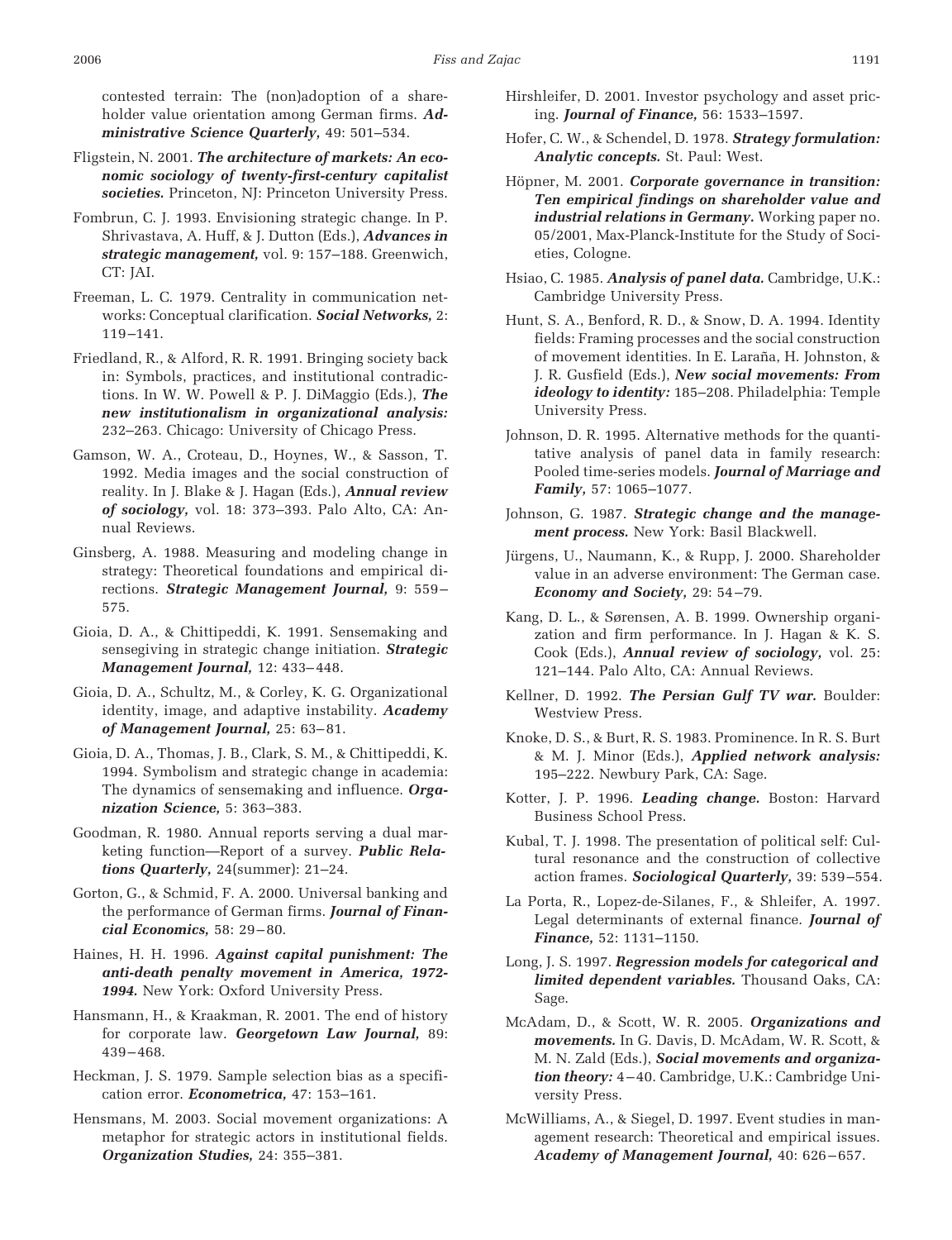contested terrain: The (non)adoption of a shareholder value orientation among German firms. *Administrative Science Quarterly,* 49: 501–534.

- Fligstein, N. 2001. *The architecture of markets: An economic sociology of twenty-first-century capitalist societies.* Princeton, NJ: Princeton University Press.
- Fombrun, C. J. 1993. Envisioning strategic change. In P. Shrivastava, A. Huff, & J. Dutton (Eds.), *Advances in strategic management,* vol. 9: 157–188. Greenwich, CT: JAI.
- Freeman, L. C. 1979. Centrality in communication networks: Conceptual clarification. *Social Networks,* 2: 119 –141.
- Friedland, R., & Alford, R. R. 1991. Bringing society back in: Symbols, practices, and institutional contradictions. In W. W. Powell & P. J. DiMaggio (Eds.), *The new institutionalism in organizational analysis:* 232–263. Chicago: University of Chicago Press.
- Gamson, W. A., Croteau, D., Hoynes, W., & Sasson, T. 1992. Media images and the social construction of reality. In J. Blake & J. Hagan (Eds.), *Annual review of sociology,* vol. 18: 373–393. Palo Alto, CA: Annual Reviews.
- Ginsberg, A. 1988. Measuring and modeling change in strategy: Theoretical foundations and empirical directions. *Strategic Management Journal,* 9: 559 – 575.
- Gioia, D. A., & Chittipeddi, K. 1991. Sensemaking and sensegiving in strategic change initiation. *Strategic Management Journal,* 12: 433– 448.
- Gioia, D. A., Schultz, M., & Corley, K. G. Organizational identity, image, and adaptive instability. *Academy of Management Journal,* 25: 63– 81.
- Gioia, D. A., Thomas, J. B., Clark, S. M., & Chittipeddi, K. 1994. Symbolism and strategic change in academia: The dynamics of sensemaking and influence. *Organization Science,* 5: 363–383.
- Goodman, R. 1980. Annual reports serving a dual marketing function—Report of a survey. *Public Relations Quarterly,* 24(summer): 21–24.
- Gorton, G., & Schmid, F. A. 2000. Universal banking and the performance of German firms. *Journal of Financial Economics,* 58: 29 – 80.
- Haines, H. H. 1996. *Against capital punishment: The anti-death penalty movement in America, 1972- 1994.* New York: Oxford University Press.
- Hansmann, H., & Kraakman, R. 2001. The end of history for corporate law. *Georgetown Law Journal,* 89: 439 – 468.
- Heckman, J. S. 1979. Sample selection bias as a specification error. *Econometrica,* 47: 153–161.
- Hensmans, M. 2003. Social movement organizations: A metaphor for strategic actors in institutional fields. *Organization Studies,* 24: 355–381.
- Hirshleifer, D. 2001. Investor psychology and asset pricing. *Journal of Finance,* 56: 1533–1597.
- Hofer, C. W., & Schendel, D. 1978. *Strategy formulation: Analytic concepts.* St. Paul: West.
- Höpner, M. 2001. *Corporate governance in transition: Ten empirical findings on shareholder value and industrial relations in Germany.* Working paper no. 05/2001, Max-Planck-Institute for the Study of Societies, Cologne.
- Hsiao, C. 1985. *Analysis of panel data.* Cambridge, U.K.: Cambridge University Press.
- Hunt, S. A., Benford, R. D., & Snow, D. A. 1994. Identity fields: Framing processes and the social construction of movement identities. In E. Laraña, H. Johnston, & J. R. Gusfield (Eds.), *New social movements: From ideology to identity:* 185–208. Philadelphia: Temple University Press.
- Johnson, D. R. 1995. Alternative methods for the quantitative analysis of panel data in family research: Pooled time-series models. *Journal of Marriage and Family,* 57: 1065–1077.
- Johnson, G. 1987. *Strategic change and the management process.* New York: Basil Blackwell.
- Jürgens, U., Naumann, K., & Rupp, J. 2000. Shareholder value in an adverse environment: The German case. *Economy and Society,* 29: 54 –79.
- Kang, D. L., & Sørensen, A. B. 1999. Ownership organization and firm performance. In J. Hagan & K. S. Cook (Eds.), *Annual review of sociology,* vol. 25: 121–144. Palo Alto, CA: Annual Reviews.
- Kellner, D. 1992. *The Persian Gulf TV war.* Boulder: Westview Press.
- Knoke, D. S., & Burt, R. S. 1983. Prominence. In R. S. Burt & M. J. Minor (Eds.), *Applied network analysis:* 195–222. Newbury Park, CA: Sage.
- Kotter, J. P. 1996. *Leading change.* Boston: Harvard Business School Press.
- Kubal, T. J. 1998. The presentation of political self: Cultural resonance and the construction of collective action frames. *Sociological Quarterly,* 39: 539 –554.
- La Porta, R., Lopez-de-Silanes, F., & Shleifer, A. 1997. Legal determinants of external finance. *Journal of Finance,* 52: 1131–1150.
- Long, J. S. 1997. *Regression models for categorical and limited dependent variables.* Thousand Oaks, CA: Sage.
- McAdam, D., & Scott, W. R. 2005. *Organizations and movements.* In G. Davis, D. McAdam, W. R. Scott, & M. N. Zald (Eds.), *Social movements and organization theory:* 4 – 40. Cambridge, U.K.: Cambridge University Press.
- McWilliams, A., & Siegel, D. 1997. Event studies in management research: Theoretical and empirical issues. *Academy of Management Journal,* 40: 626 – 657.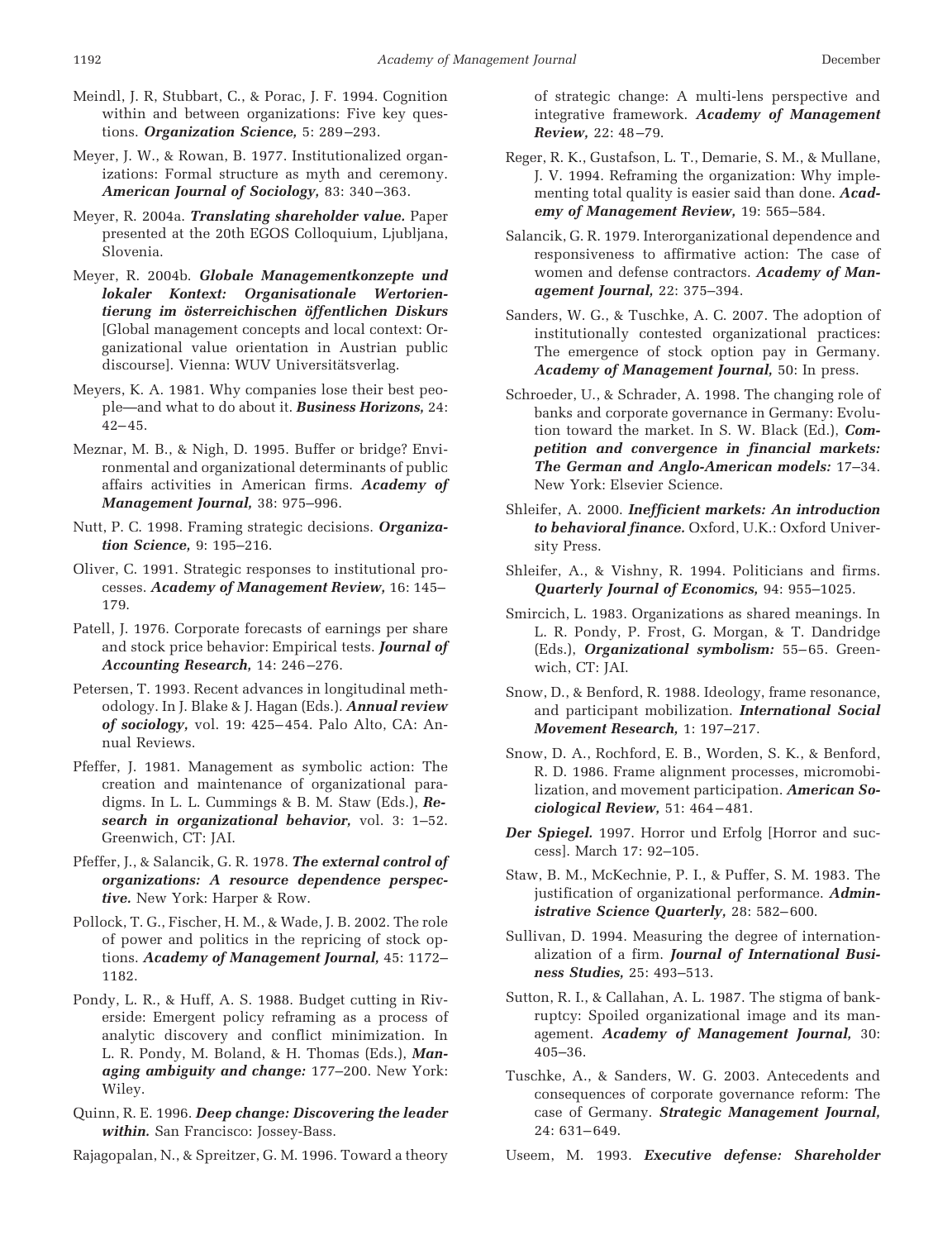- Meindl, J. R, Stubbart, C., & Porac, J. F. 1994. Cognition within and between organizations: Five key questions. *Organization Science,* 5: 289 –293.
- Meyer, J. W., & Rowan, B. 1977. Institutionalized organizations: Formal structure as myth and ceremony. *American Journal of Sociology,* 83: 340 –363.
- Meyer, R. 2004a. *Translating shareholder value.* Paper presented at the 20th EGOS Colloquium, Ljubljana, Slovenia.
- Meyer, R. 2004b. *Globale Managementkonzepte und lokaler Kontext: Organisationale Wertorientierung im o¨ sterreichischen o¨ ffentlichen Diskurs* [Global management concepts and local context: Organizational value orientation in Austrian public discourse]. Vienna: WUV Universitätsverlag.
- Meyers, K. A. 1981. Why companies lose their best people—and what to do about it. *Business Horizons,* 24:  $42 - 45$ .
- Meznar, M. B., & Nigh, D. 1995. Buffer or bridge? Environmental and organizational determinants of public affairs activities in American firms. *Academy of Management Journal,* 38: 975–996.
- Nutt, P. C. 1998. Framing strategic decisions. *Organization Science,* 9: 195–216.
- Oliver, C. 1991. Strategic responses to institutional processes. *Academy of Management Review,* 16: 145– 179.
- Patell, J. 1976. Corporate forecasts of earnings per share and stock price behavior: Empirical tests. *Journal of Accounting Research,* 14: 246 –276.
- Petersen, T. 1993. Recent advances in longitudinal methodology. In J. Blake & J. Hagan (Eds.). *Annual review of sociology,* vol. 19: 425– 454. Palo Alto, CA: Annual Reviews.
- Pfeffer, J. 1981. Management as symbolic action: The creation and maintenance of organizational paradigms. In L. L. Cummings & B. M. Staw (Eds.), *Research in organizational behavior,* vol. 3: 1–52. Greenwich, CT: JAI.
- Pfeffer, J., & Salancik, G. R. 1978. *The external control of organizations: A resource dependence perspective.* New York: Harper & Row.
- Pollock, T. G., Fischer, H. M., & Wade, J. B. 2002. The role of power and politics in the repricing of stock options. *Academy of Management Journal,* 45: 1172– 1182.
- Pondy, L. R., & Huff, A. S. 1988. Budget cutting in Riverside: Emergent policy reframing as a process of analytic discovery and conflict minimization. In L. R. Pondy, M. Boland, & H. Thomas (Eds.), *Managing ambiguity and change:* 177–200. New York: Wiley.
- Quinn, R. E. 1996. *Deep change: Discovering the leader within.* San Francisco: Jossey-Bass.

Rajagopalan, N., & Spreitzer, G. M. 1996. Toward a theory

of strategic change: A multi-lens perspective and integrative framework. *Academy of Management Review, 22: 48-79.* 

- Reger, R. K., Gustafson, L. T., Demarie, S. M., & Mullane, J. V. 1994. Reframing the organization: Why implementing total quality is easier said than done. *Academy of Management Review,* 19: 565–584.
- Salancik, G. R. 1979. Interorganizational dependence and responsiveness to affirmative action: The case of women and defense contractors. *Academy of Management Journal,* 22: 375–394.
- Sanders, W. G., & Tuschke, A. C. 2007. The adoption of institutionally contested organizational practices: The emergence of stock option pay in Germany. *Academy of Management Journal,* 50: In press.
- Schroeder, U., & Schrader, A. 1998. The changing role of banks and corporate governance in Germany: Evolution toward the market. In S. W. Black (Ed.), *Competition and convergence in financial markets: The German and Anglo-American models:* 17–34. New York: Elsevier Science.
- Shleifer, A. 2000. *Inefficient markets: An introduction to behavioral finance.* Oxford, U.K.: Oxford University Press.
- Shleifer, A., & Vishny, R. 1994. Politicians and firms. *Quarterly Journal of Economics,* 94: 955–1025.
- Smircich, L. 1983. Organizations as shared meanings. In L. R. Pondy, P. Frost, G. Morgan, & T. Dandridge (Eds.), *Organizational symbolism:* 55-65. Greenwich, CT: JAI.
- Snow, D., & Benford, R. 1988. Ideology, frame resonance, and participant mobilization. *International Social Movement Research,* 1: 197–217.
- Snow, D. A., Rochford, E. B., Worden, S. K., & Benford, R. D. 1986. Frame alignment processes, micromobilization, and movement participation. *American Sociological Review,* 51: 464 – 481.
- *Der Spiegel.* 1997. Horror und Erfolg [Horror and success]. March 17: 92–105.
- Staw, B. M., McKechnie, P. I., & Puffer, S. M. 1983. The justification of organizational performance. *Administrative Science Quarterly,* 28: 582– 600.
- Sullivan, D. 1994. Measuring the degree of internationalization of a firm. *Journal of International Business Studies,* 25: 493–513.
- Sutton, R. I., & Callahan, A. L. 1987. The stigma of bankruptcy: Spoiled organizational image and its management. *Academy of Management Journal,* 30: 405–36.
- Tuschke, A., & Sanders, W. G. 2003. Antecedents and consequences of corporate governance reform: The case of Germany. *Strategic Management Journal,* 24: 631– 649.
- Useem, M. 1993. *Executive defense: Shareholder*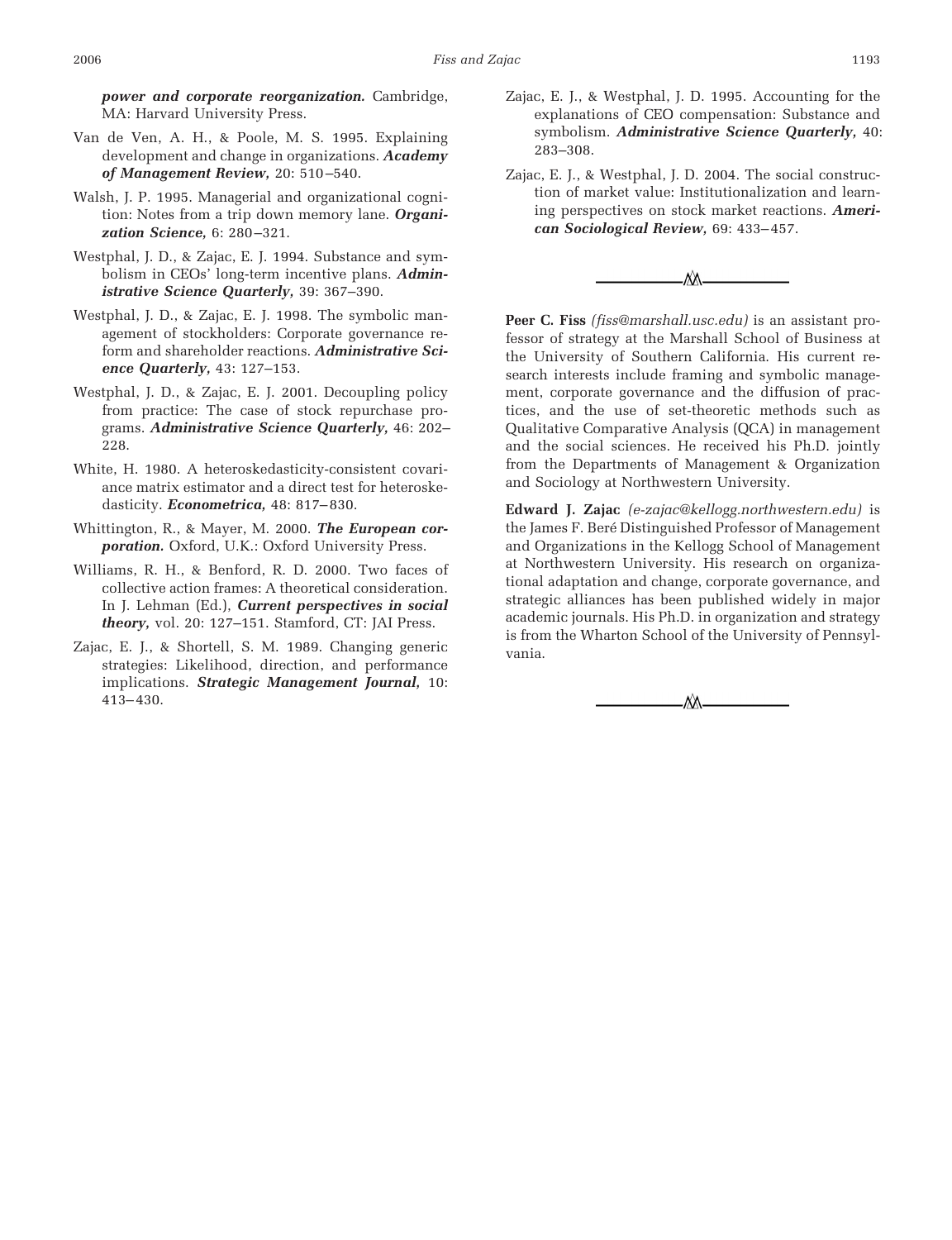*power and corporate reorganization.* Cambridge, MA: Harvard University Press.

- Van de Ven, A. H., & Poole, M. S. 1995. Explaining development and change in organizations. *Academy of Management Review,* 20: 510 –540.
- Walsh, J. P. 1995. Managerial and organizational cognition: Notes from a trip down memory lane. *Organization Science,* 6: 280 –321.
- Westphal, J. D., & Zajac, E. J. 1994. Substance and symbolism in CEOs' long-term incentive plans. *Administrative Science Quarterly,* 39: 367–390.
- Westphal, J. D., & Zajac, E. J. 1998. The symbolic management of stockholders: Corporate governance reform and shareholder reactions. *Administrative Science Quarterly,* 43: 127–153.
- Westphal, J. D., & Zajac, E. J. 2001. Decoupling policy from practice: The case of stock repurchase programs. *Administrative Science Quarterly,* 46: 202– 228.
- White, H. 1980. A heteroskedasticity-consistent covariance matrix estimator and a direct test for heteroskedasticity. *Econometrica,* 48: 817– 830.
- Whittington, R., & Mayer, M. 2000. *The European corporation.* Oxford, U.K.: Oxford University Press.
- Williams, R. H., & Benford, R. D. 2000. Two faces of collective action frames: A theoretical consideration. In J. Lehman (Ed.), *Current perspectives in social theory,* vol. 20: 127–151. Stamford, CT: JAI Press.
- Zajac, E. J., & Shortell, S. M. 1989. Changing generic strategies: Likelihood, direction, and performance implications. *Strategic Management Journal,* 10: 413– 430.
- Zajac, E. J., & Westphal, J. D. 1995. Accounting for the explanations of CEO compensation: Substance and symbolism. *Administrative Science Quarterly,* 40: 283–308.
- Zajac, E. J., & Westphal, J. D. 2004. The social construction of market value: Institutionalization and learning perspectives on stock market reactions. *American Sociological Review,* 69: 433– 457.



**Peer C. Fiss** *(fiss@marshall.usc.edu)* is an assistant professor of strategy at the Marshall School of Business at the University of Southern California. His current research interests include framing and symbolic management, corporate governance and the diffusion of practices, and the use of set-theoretic methods such as Qualitative Comparative Analysis (QCA) in management and the social sciences. He received his Ph.D. jointly from the Departments of Management & Organization and Sociology at Northwestern University.

**Edward J. Zajac** *(e-zajac@kellogg.northwestern.edu)* is the James F. Beré Distinguished Professor of Management and Organizations in the Kellogg School of Management at Northwestern University. His research on organizational adaptation and change, corporate governance, and strategic alliances has been published widely in major academic journals. His Ph.D. in organization and strategy is from the Wharton School of the University of Pennsylvania.

$$
\overbrace{\qquad \qquad }^{\mathcal{N}}\qquad \qquad }
$$